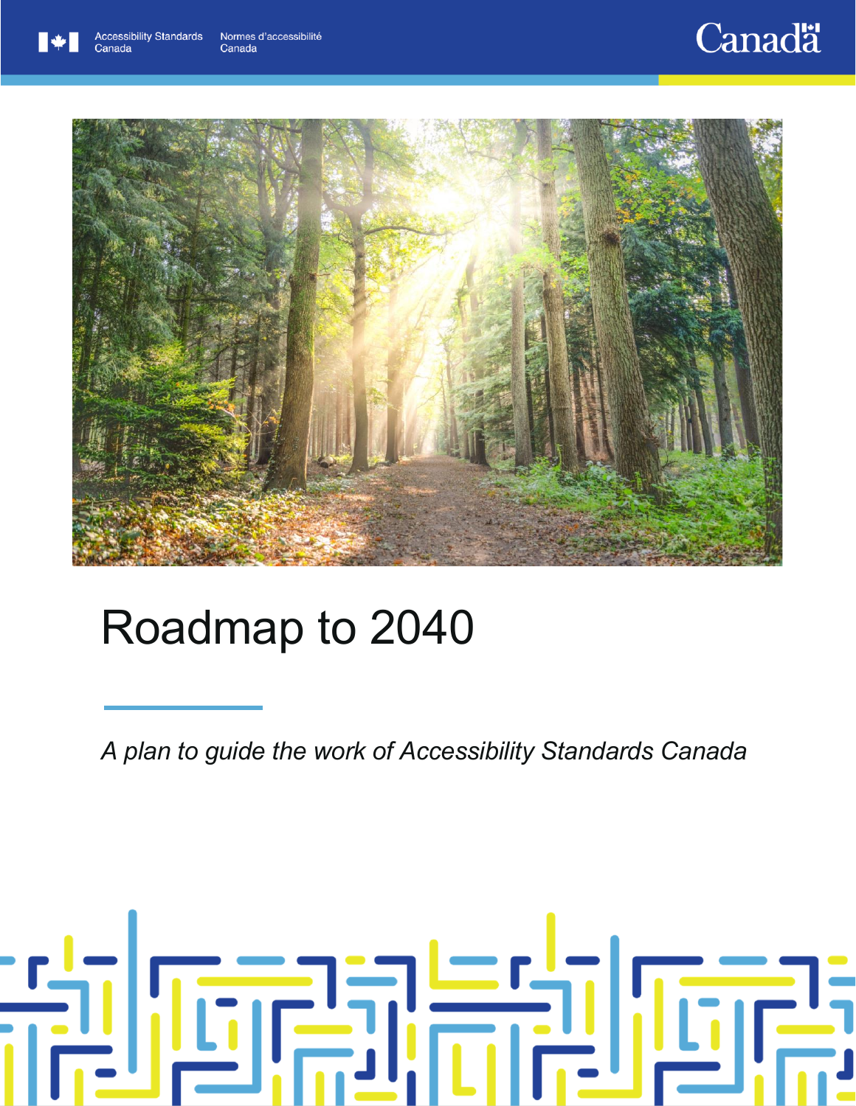## **Canadä**



# Roadmap to 2040

*A plan to guide the work of Accessibility Standards Canada*

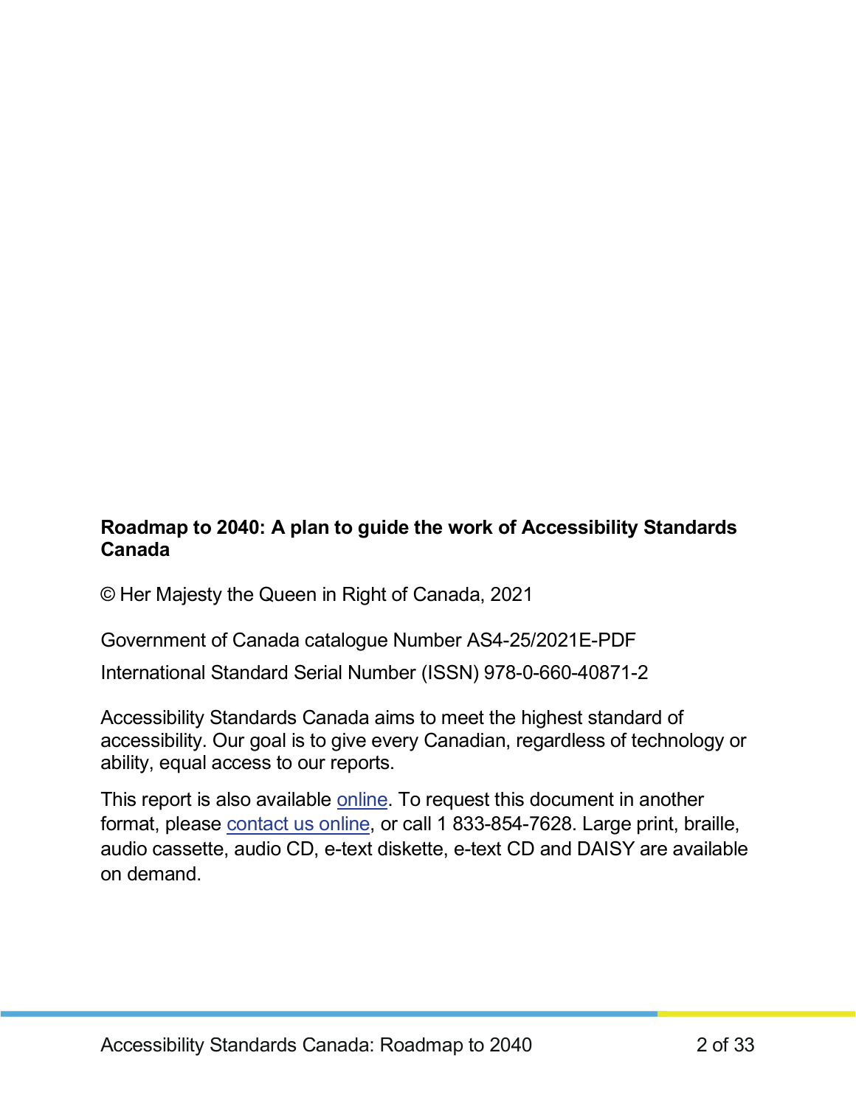#### **Roadmap to 2040: A plan to guide the work of Accessibility Standards Canada**

© Her Majesty the Queen in Right of Canada, 2021

Government of Canada catalogue Number AS4-25/2021E-PDF

International Standard Serial Number (ISSN) 978-0-660-40871-2

Accessibility Standards Canada aims to meet the highest standard of accessibility. Our goal is to give every Canadian, regardless of technology or ability, equal access to our reports.

This report is also available [online.](https://accessible.canada.ca/roadmap-to-2040) To request this document in another format, please [contact us online,](https://accessible.canada.ca/contact) or call 1 833-854-7628. Large print, braille, audio cassette, audio CD, e-text diskette, e-text CD and DAISY are available on demand.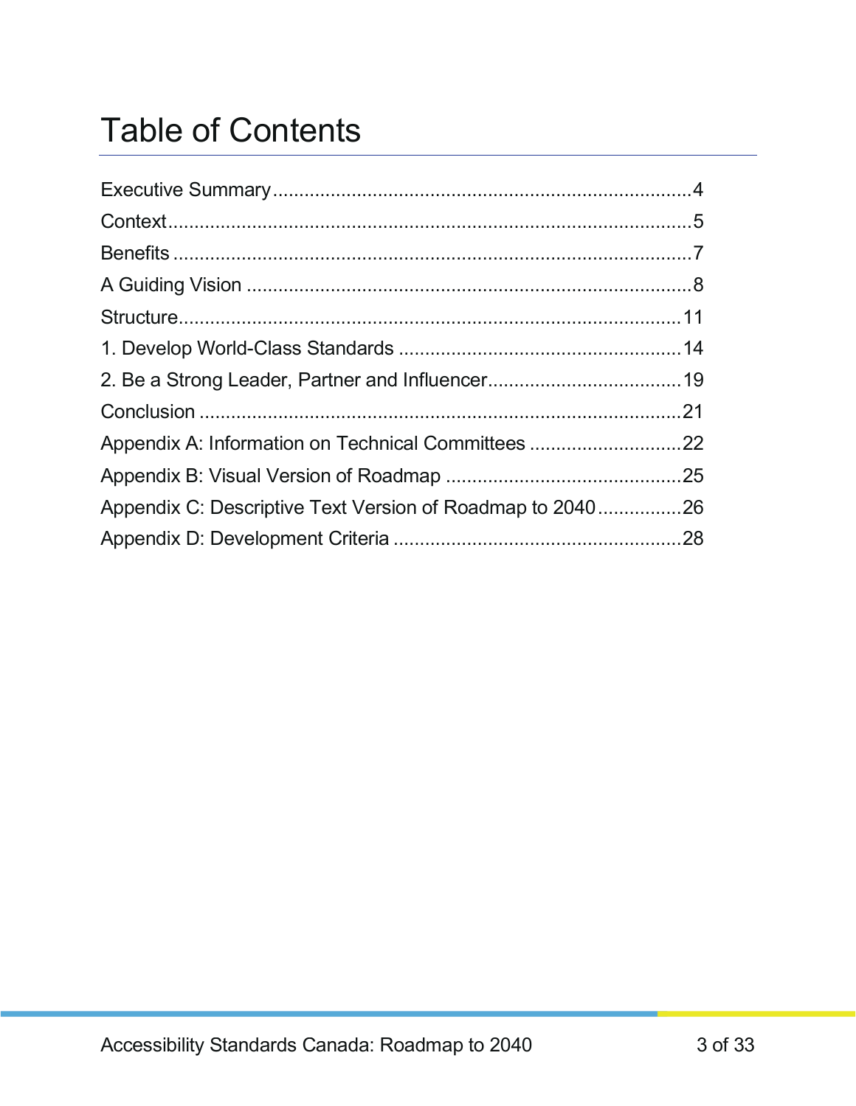### Table of Contents

| Appendix A: Information on Technical Committees 22        |  |
|-----------------------------------------------------------|--|
|                                                           |  |
| Appendix C: Descriptive Text Version of Roadmap to 204026 |  |
|                                                           |  |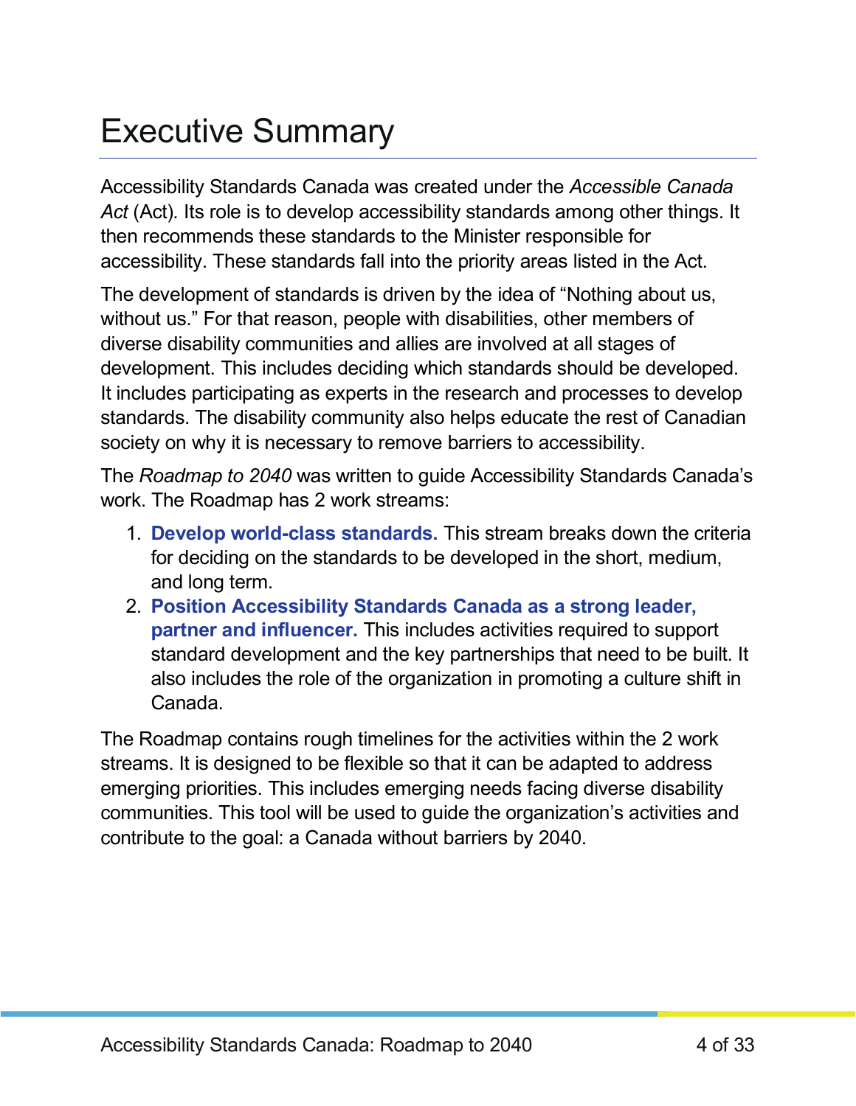### <span id="page-3-0"></span>Executive Summary

Accessibility Standards Canada was created under the *Accessible Canada Act* (Act)*.* Its role is to develop accessibility standards among other things. It then recommends these standards to the Minister responsible for accessibility. These standards fall into the priority areas listed in the Act.

The development of standards is driven by the idea of "Nothing about us, without us." For that reason, people with disabilities, other members of diverse disability communities and allies are involved at all stages of development. This includes deciding which standards should be developed. It includes participating as experts in the research and processes to develop standards. The disability community also helps educate the rest of Canadian society on why it is necessary to remove barriers to accessibility.

The *Roadmap to 2040* was written to guide Accessibility Standards Canada's work. The Roadmap has 2 work streams:

- 1. **Develop world-class standards.** This stream breaks down the criteria for deciding on the standards to be developed in the short, medium, and long term.
- 2. **Position Accessibility Standards Canada as a strong leader, partner and influencer.** This includes activities required to support standard development and the key partnerships that need to be built. It also includes the role of the organization in promoting a culture shift in Canada.

The Roadmap contains rough timelines for the activities within the 2 work streams. It is designed to be flexible so that it can be adapted to address emerging priorities. This includes emerging needs facing diverse disability communities. This tool will be used to guide the organization's activities and contribute to the goal: a Canada without barriers by 2040.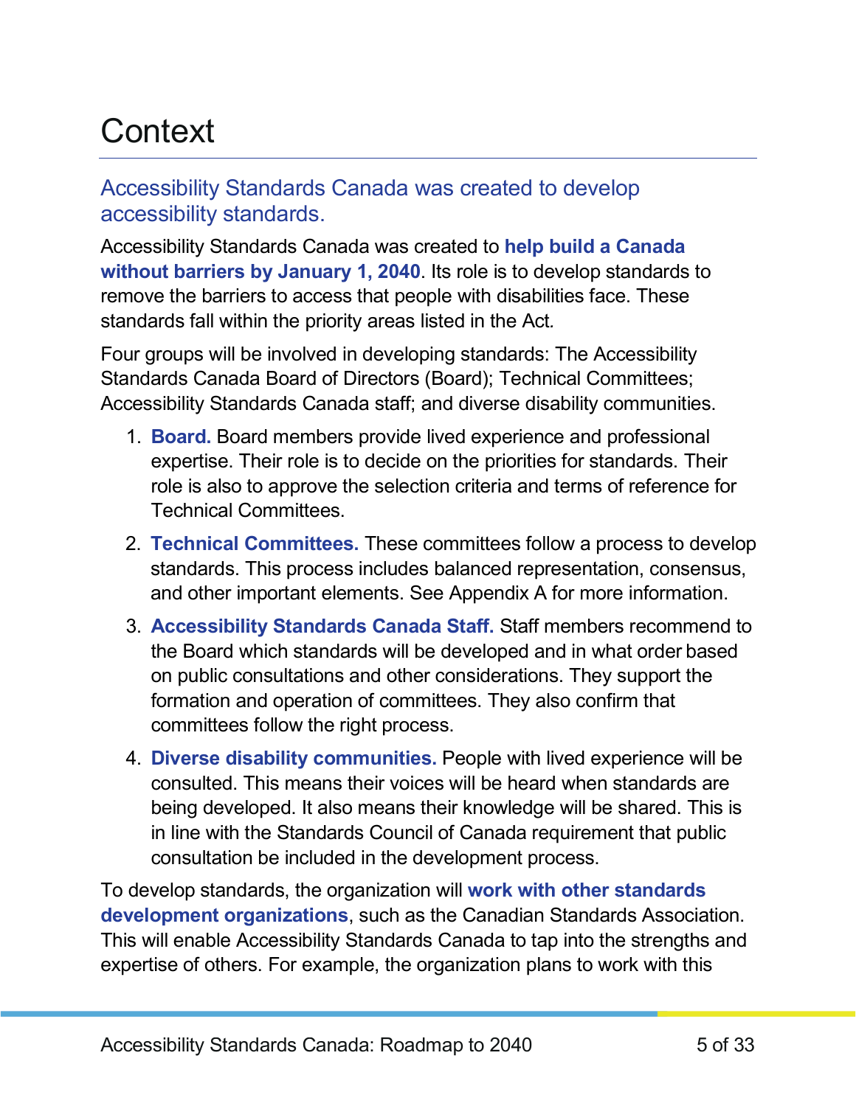### <span id="page-4-0"></span>**Context**

#### Accessibility Standards Canada was created to develop accessibility standards.

Accessibility Standards Canada was created to **help build a Canada without barriers by January 1, 2040**. Its role is to develop standards to remove the barriers to access that people with disabilities face. These standards fall within the priority areas listed in the Act*.*

Four groups will be involved in developing standards: The Accessibility Standards Canada Board of Directors (Board); Technical Committees; Accessibility Standards Canada staff; and diverse disability communities.

- 1. **Board.** Board members provide lived experience and professional expertise. Their role is to decide on the priorities for standards. Their role is also to approve the selection criteria and terms of reference for Technical Committees.
- 2. **Technical Committees.** These committees follow a process to develop standards. This process includes balanced representation, consensus, and other important elements. See Appendix A for more information.
- 3. **Accessibility Standards Canada Staff.** Staff members recommend to the Board which standards will be developed and in what order based on public consultations and other considerations. They support the formation and operation of committees. They also confirm that committees follow the right process.
- 4. **Diverse disability communities.** People with lived experience will be consulted. This means their voices will be heard when standards are being developed. It also means their knowledge will be shared. This is in line with the Standards Council of Canada requirement that public consultation be included in the development process.

To develop standards, the organization will **work with other standards development organizations**, such as the Canadian Standards Association. This will enable Accessibility Standards Canada to tap into the strengths and expertise of others. For example, the organization plans to work with this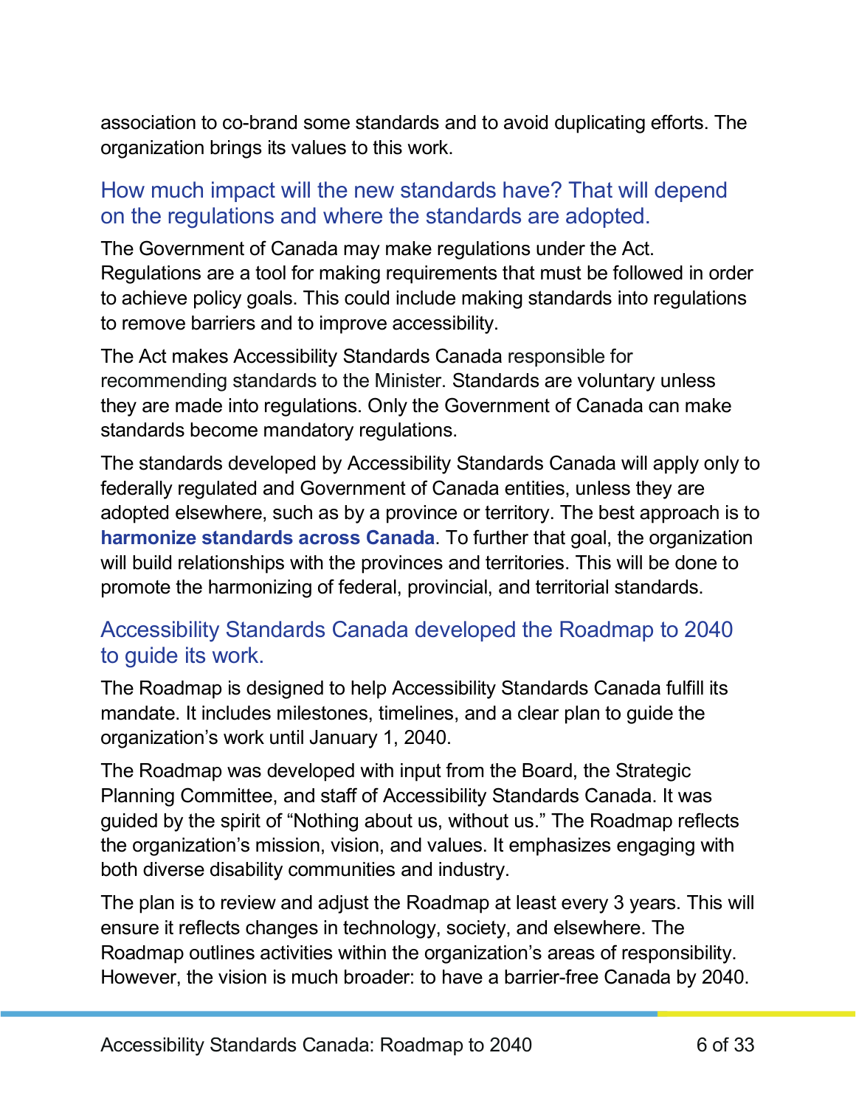association to co-brand some standards and to avoid duplicating efforts. The organization brings its values to this work.

#### How much impact will the new standards have? That will depend on the regulations and where the standards are adopted.

The Government of Canada may make regulations under the Act. Regulations are a tool for making requirements that must be followed in order to achieve policy goals. This could include making standards into regulations to remove barriers and to improve accessibility.

The Act makes Accessibility Standards Canada responsible for recommending standards to the Minister. Standards are voluntary unless they are made into regulations. Only the Government of Canada can make standards become mandatory regulations.

The standards developed by Accessibility Standards Canada will apply only to federally regulated and Government of Canada entities, unless they are adopted elsewhere, such as by a province or territory. The best approach is to **harmonize standards across Canada**. To further that goal, the organization will build relationships with the provinces and territories. This will be done to promote the harmonizing of federal, provincial, and territorial standards.

#### Accessibility Standards Canada developed the Roadmap to 2040 to guide its work.

The Roadmap is designed to help Accessibility Standards Canada fulfill its mandate. It includes milestones, timelines, and a clear plan to guide the organization's work until January 1, 2040.

The Roadmap was developed with input from the Board, the Strategic Planning Committee, and staff of Accessibility Standards Canada. It was guided by the spirit of "Nothing about us, without us." The Roadmap reflects the organization's mission, vision, and values. It emphasizes engaging with both diverse disability communities and industry.

The plan is to review and adjust the Roadmap at least every 3 years. This will ensure it reflects changes in technology, society, and elsewhere. The Roadmap outlines activities within the organization's areas of responsibility. However, the vision is much broader: to have a barrier-free Canada by 2040.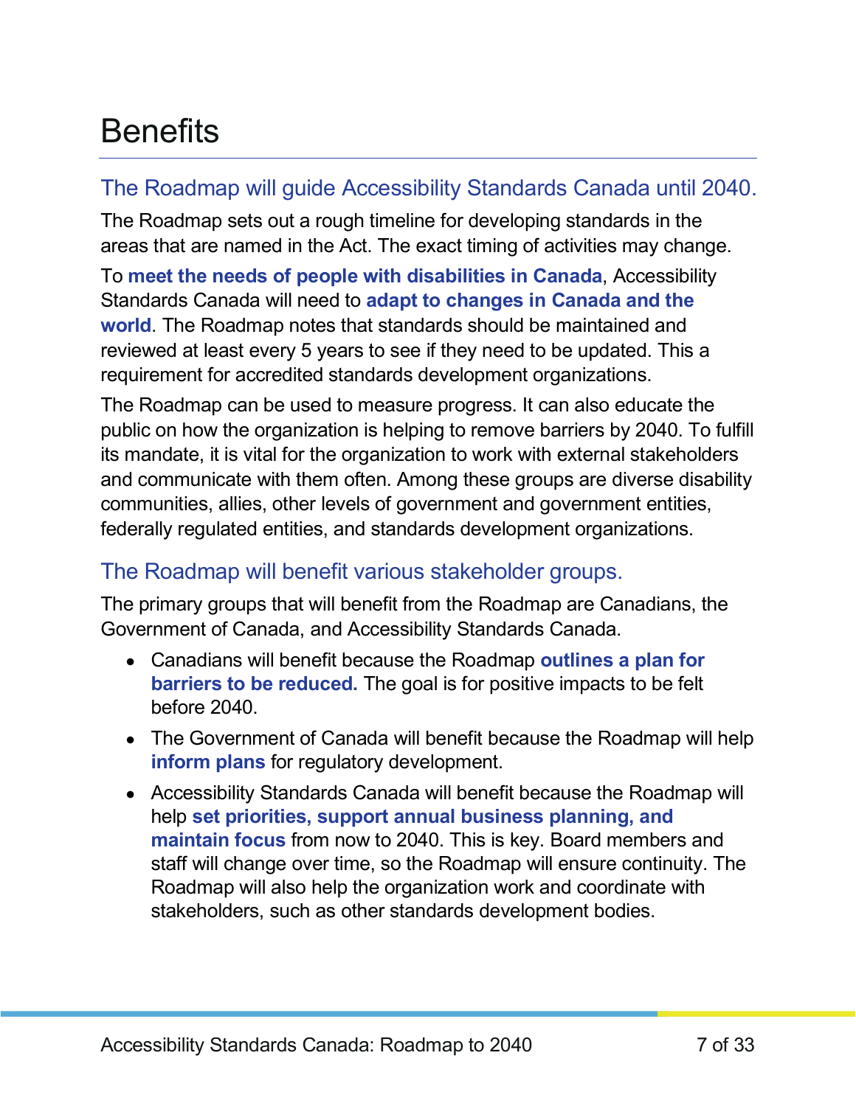### <span id="page-6-0"></span>**Benefits**

### The Roadmap will guide Accessibility Standards Canada until 2040.

The Roadmap sets out a rough timeline for developing standards in the areas that are named in the Act. The exact timing of activities may change.

To **meet the needs of people with disabilities in Canada**, Accessibility Standards Canada will need to **adapt to changes in Canada and the world**. The Roadmap notes that standards should be maintained and reviewed at least every 5 years to see if they need to be updated. This a requirement for accredited standards development organizations.

The Roadmap can be used to measure progress. It can also educate the public on how the organization is helping to remove barriers by 2040. To fulfill its mandate, it is vital for the organization to work with external stakeholders and communicate with them often. Among these groups are diverse disability communities, allies, other levels of government and government entities, federally regulated entities, and standards development organizations.

### The Roadmap will benefit various stakeholder groups.

The primary groups that will benefit from the Roadmap are Canadians, the Government of Canada, and Accessibility Standards Canada.

- Canadians will benefit because the Roadmap **outlines a plan for barriers to be reduced.** The goal is for positive impacts to be felt before 2040.
- The Government of Canada will benefit because the Roadmap will help **inform plans** for regulatory development.
- Accessibility Standards Canada will benefit because the Roadmap will help **set priorities, support annual business planning, and maintain focus** from now to 2040. This is key. Board members and staff will change over time, so the Roadmap will ensure continuity. The Roadmap will also help the organization work and coordinate with stakeholders, such as other standards development bodies.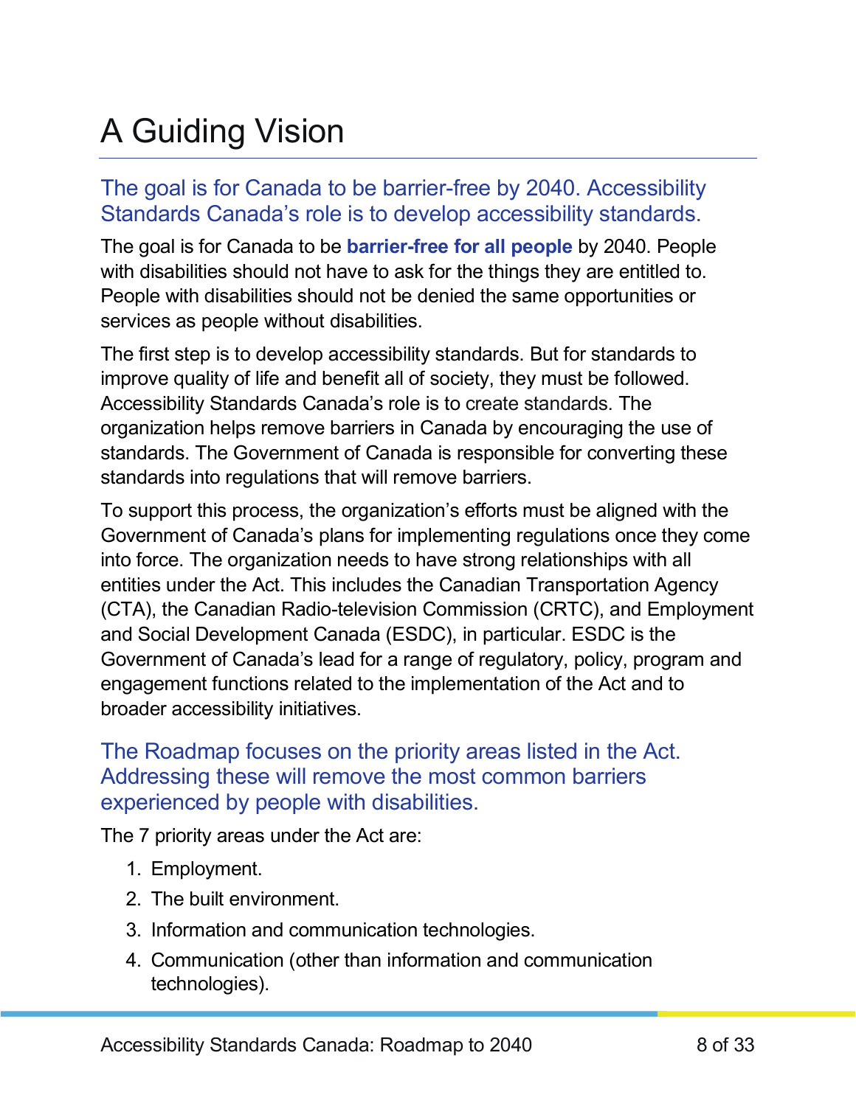## <span id="page-7-0"></span>A Guiding Vision

#### The goal is for Canada to be barrier-free by 2040. Accessibility Standards Canada's role is to develop accessibility standards.

The goal is for Canada to be **barrier-free for all people** by 2040. People with disabilities should not have to ask for the things they are entitled to. People with disabilities should not be denied the same opportunities or services as people without disabilities.

The first step is to develop accessibility standards. But for standards to improve quality of life and benefit all of society, they must be followed. Accessibility Standards Canada's role is to create standards. The organization helps remove barriers in Canada by encouraging the use of standards. The Government of Canada is responsible for converting these standards into regulations that will remove barriers.

To support this process, the organization's efforts must be aligned with the Government of Canada's plans for implementing regulations once they come into force. The organization needs to have strong relationships with all entities under the Act. This includes the Canadian Transportation Agency (CTA), the Canadian Radio-television Commission (CRTC), and Employment and Social Development Canada (ESDC), in particular. ESDC is the Government of Canada's lead for a range of regulatory, policy, program and engagement functions related to the implementation of the Act and to broader accessibility initiatives.

#### The Roadmap focuses on the priority areas listed in the Act. Addressing these will remove the most common barriers experienced by people with disabilities.

The 7 priority areas under the Act are:

- 1. Employment.
- 2. The built environment.
- 3. Information and communication technologies.
- 4. Communication (other than information and communication technologies).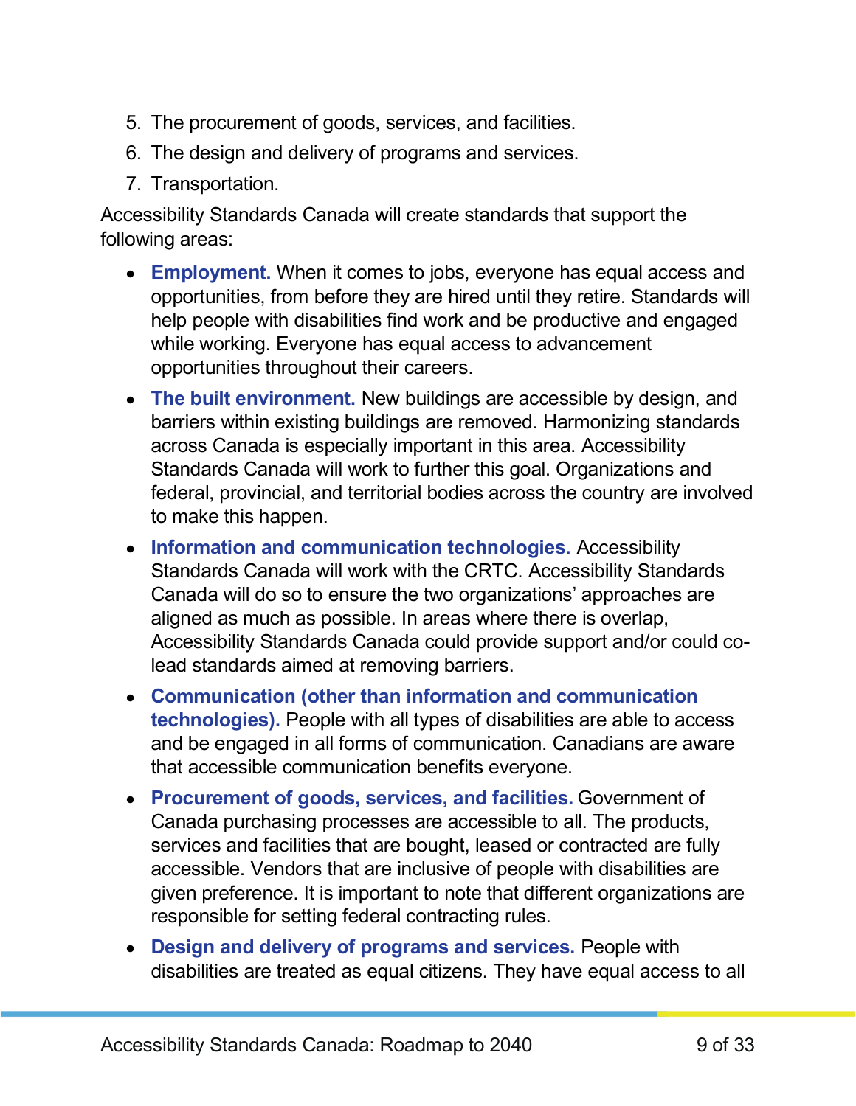- 5. The procurement of goods, services, and facilities.
- 6. The design and delivery of programs and services.
- 7. Transportation.

Accessibility Standards Canada will create standards that support the following areas:

- **Employment.** When it comes to jobs, everyone has equal access and opportunities, from before they are hired until they retire. Standards will help people with disabilities find work and be productive and engaged while working. Everyone has equal access to advancement opportunities throughout their careers.
- **The built environment.** New buildings are accessible by design, and barriers within existing buildings are removed. Harmonizing standards across Canada is especially important in this area. Accessibility Standards Canada will work to further this goal. Organizations and federal, provincial, and territorial bodies across the country are involved to make this happen.
- **Information and communication technologies.** Accessibility Standards Canada will work with the CRTC. Accessibility Standards Canada will do so to ensure the two organizations' approaches are aligned as much as possible. In areas where there is overlap, Accessibility Standards Canada could provide support and/or could colead standards aimed at removing barriers.
- **Communication (other than information and communication technologies).** People with all types of disabilities are able to access and be engaged in all forms of communication. Canadians are aware that accessible communication benefits everyone.
- **Procurement of goods, services, and facilities.** Government of Canada purchasing processes are accessible to all. The products, services and facilities that are bought, leased or contracted are fully accessible. Vendors that are inclusive of people with disabilities are given preference. It is important to note that different organizations are responsible for setting federal contracting rules.
- **Design and delivery of programs and services.** People with disabilities are treated as equal citizens. They have equal access to all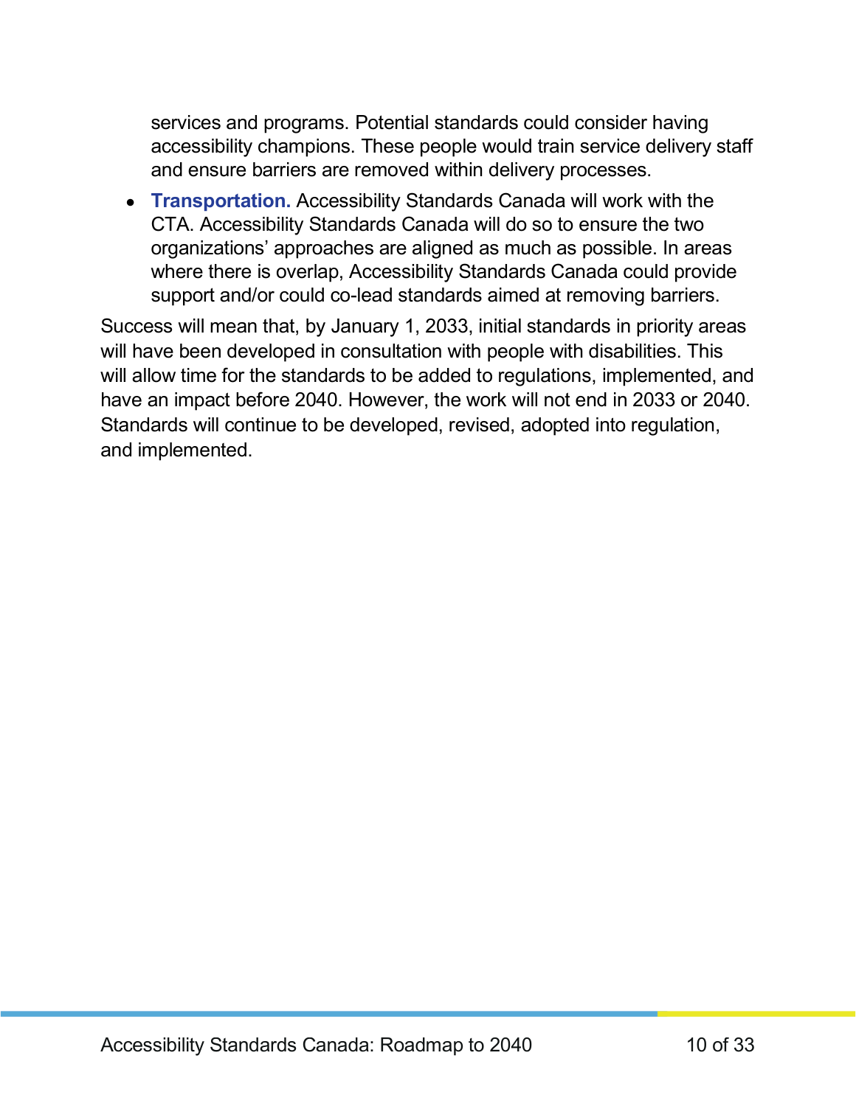services and programs. Potential standards could consider having accessibility champions. These people would train service delivery staff and ensure barriers are removed within delivery processes.

• **Transportation.** Accessibility Standards Canada will work with the CTA. Accessibility Standards Canada will do so to ensure the two organizations' approaches are aligned as much as possible. In areas where there is overlap, Accessibility Standards Canada could provide support and/or could co-lead standards aimed at removing barriers.

Success will mean that, by January 1, 2033, initial standards in priority areas will have been developed in consultation with people with disabilities. This will allow time for the standards to be added to regulations, implemented, and have an impact before 2040. However, the work will not end in 2033 or 2040. Standards will continue to be developed, revised, adopted into regulation, and implemented.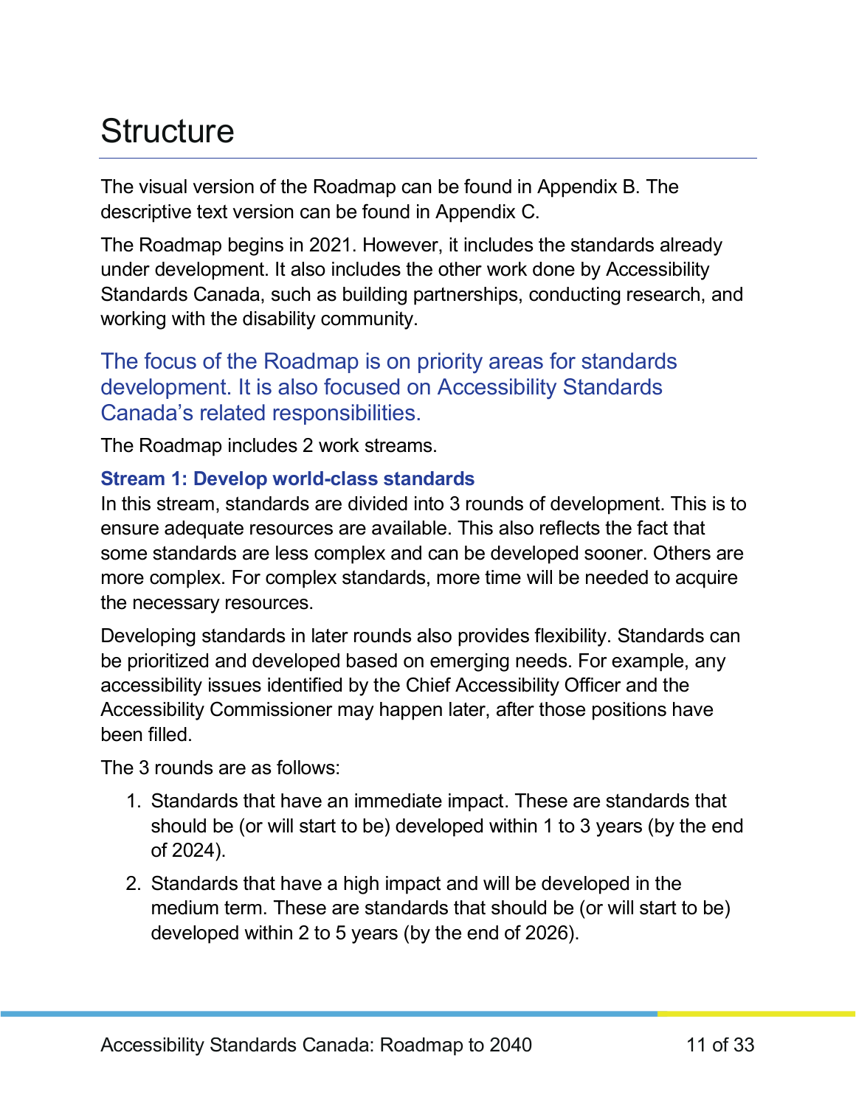### <span id="page-10-0"></span>**Structure**

The visual version of the Roadmap can be found in Appendix B. The descriptive text version can be found in Appendix C.

The Roadmap begins in 2021. However, it includes the standards already under development. It also includes the other work done by Accessibility Standards Canada, such as building partnerships, conducting research, and working with the disability community.

The focus of the Roadmap is on priority areas for standards development. It is also focused on Accessibility Standards Canada's related responsibilities.

The Roadmap includes 2 work streams.

#### **Stream 1: Develop world-class standards**

In this stream, standards are divided into 3 rounds of development. This is to ensure adequate resources are available. This also reflects the fact that some standards are less complex and can be developed sooner. Others are more complex. For complex standards, more time will be needed to acquire the necessary resources.

Developing standards in later rounds also provides flexibility. Standards can be prioritized and developed based on emerging needs. For example, any accessibility issues identified by the Chief Accessibility Officer and the Accessibility Commissioner may happen later, after those positions have been filled.

The 3 rounds are as follows:

- 1. Standards that have an immediate impact. These are standards that should be (or will start to be) developed within 1 to 3 years (by the end of 2024).
- 2. Standards that have a high impact and will be developed in the medium term. These are standards that should be (or will start to be) developed within 2 to 5 years (by the end of 2026).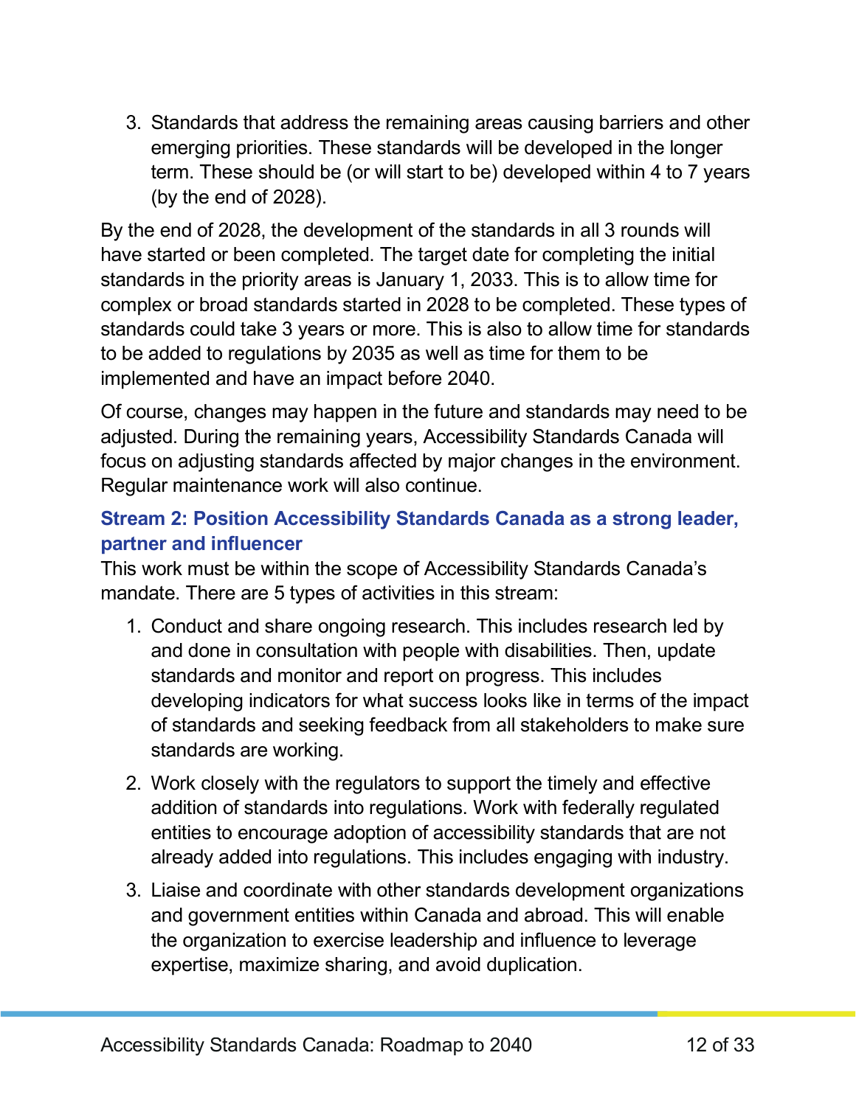3. Standards that address the remaining areas causing barriers and other emerging priorities. These standards will be developed in the longer term. These should be (or will start to be) developed within 4 to 7 years (by the end of 2028).

By the end of 2028, the development of the standards in all 3 rounds will have started or been completed. The target date for completing the initial standards in the priority areas is January 1, 2033. This is to allow time for complex or broad standards started in 2028 to be completed. These types of standards could take 3 years or more. This is also to allow time for standards to be added to regulations by 2035 as well as time for them to be implemented and have an impact before 2040.

Of course, changes may happen in the future and standards may need to be adjusted. During the remaining years, Accessibility Standards Canada will focus on adjusting standards affected by major changes in the environment. Regular maintenance work will also continue.

#### **Stream 2: Position Accessibility Standards Canada as a strong leader, partner and influencer**

This work must be within the scope of Accessibility Standards Canada's mandate. There are 5 types of activities in this stream:

- 1. Conduct and share ongoing research. This includes research led by and done in consultation with people with disabilities. Then, update standards and monitor and report on progress. This includes developing indicators for what success looks like in terms of the impact of standards and seeking feedback from all stakeholders to make sure standards are working.
- 2. Work closely with the regulators to support the timely and effective addition of standards into regulations. Work with federally regulated entities to encourage adoption of accessibility standards that are not already added into regulations. This includes engaging with industry.
- 3. Liaise and coordinate with other standards development organizations and government entities within Canada and abroad. This will enable the organization to exercise leadership and influence to leverage expertise, maximize sharing, and avoid duplication.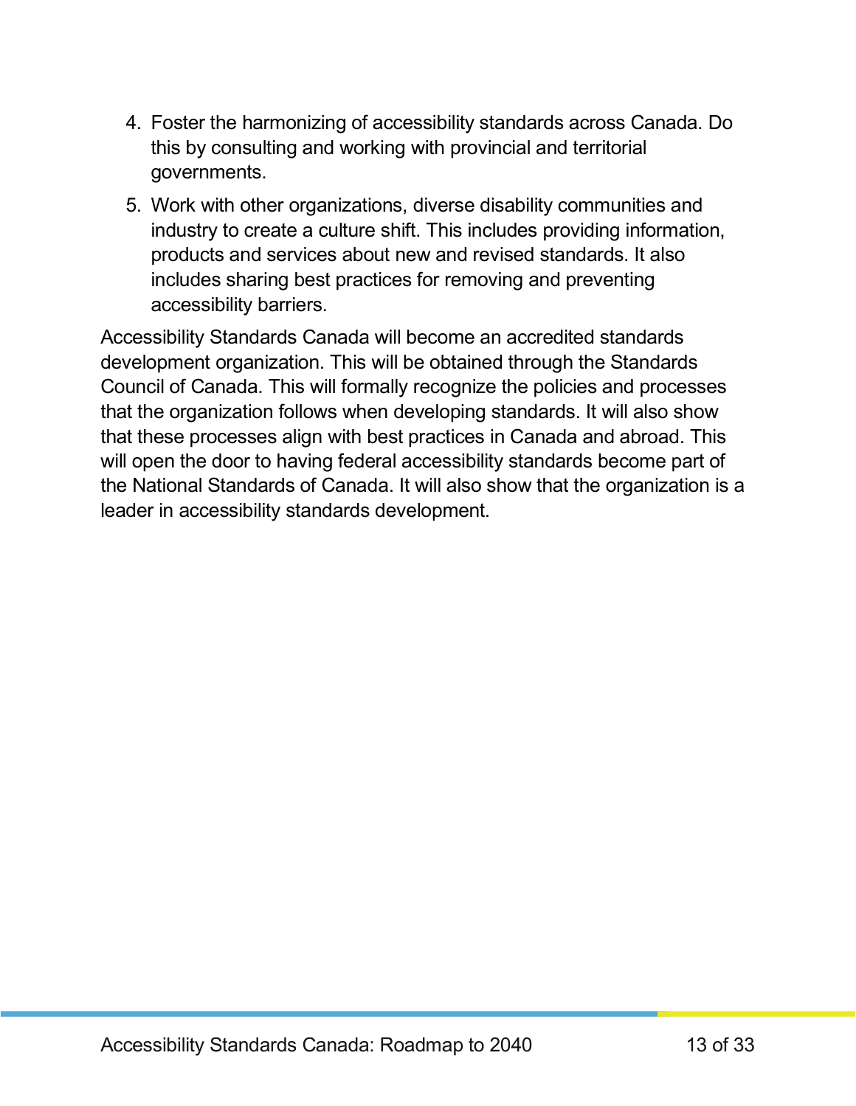- 4. Foster the harmonizing of accessibility standards across Canada. Do this by consulting and working with provincial and territorial governments.
- 5. Work with other organizations, diverse disability communities and industry to create a culture shift. This includes providing information, products and services about new and revised standards. It also includes sharing best practices for removing and preventing accessibility barriers.

Accessibility Standards Canada will become an accredited standards development organization. This will be obtained through the Standards Council of Canada. This will formally recognize the policies and processes that the organization follows when developing standards. It will also show that these processes align with best practices in Canada and abroad. This will open the door to having federal accessibility standards become part of the National Standards of Canada. It will also show that the organization is a leader in accessibility standards development.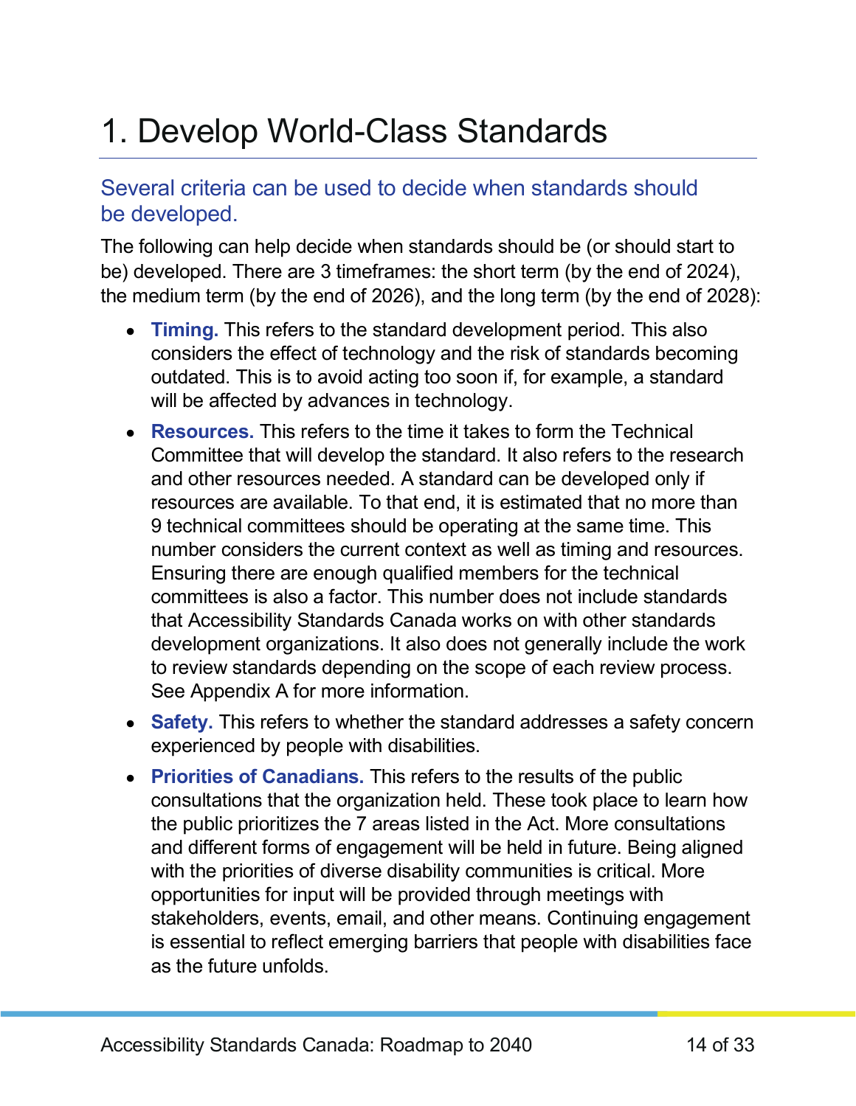### <span id="page-13-0"></span>1. Develop World-Class Standards

#### Several criteria can be used to decide when standards should be developed.

The following can help decide when standards should be (or should start to be) developed. There are 3 timeframes: the short term (by the end of 2024), the medium term (by the end of 2026), and the long term (by the end of 2028):

- **Timing.** This refers to the standard development period. This also considers the effect of technology and the risk of standards becoming outdated. This is to avoid acting too soon if, for example, a standard will be affected by advances in technology.
- **Resources.** This refers to the time it takes to form the Technical Committee that will develop the standard. It also refers to the research and other resources needed. A standard can be developed only if resources are available. To that end, it is estimated that no more than 9 technical committees should be operating at the same time. This number considers the current context as well as timing and resources. Ensuring there are enough qualified members for the technical committees is also a factor. This number does not include standards that Accessibility Standards Canada works on with other standards development organizations. It also does not generally include the work to review standards depending on the scope of each review process. See Appendix A for more information.
- **Safety.** This refers to whether the standard addresses a safety concern experienced by people with disabilities.
- **Priorities of Canadians.** This refers to the results of the public consultations that the organization held. These took place to learn how the public prioritizes the 7 areas listed in the Act. More consultations and different forms of engagement will be held in future. Being aligned with the priorities of diverse disability communities is critical. More opportunities for input will be provided through meetings with stakeholders, events, email, and other means. Continuing engagement is essential to reflect emerging barriers that people with disabilities face as the future unfolds.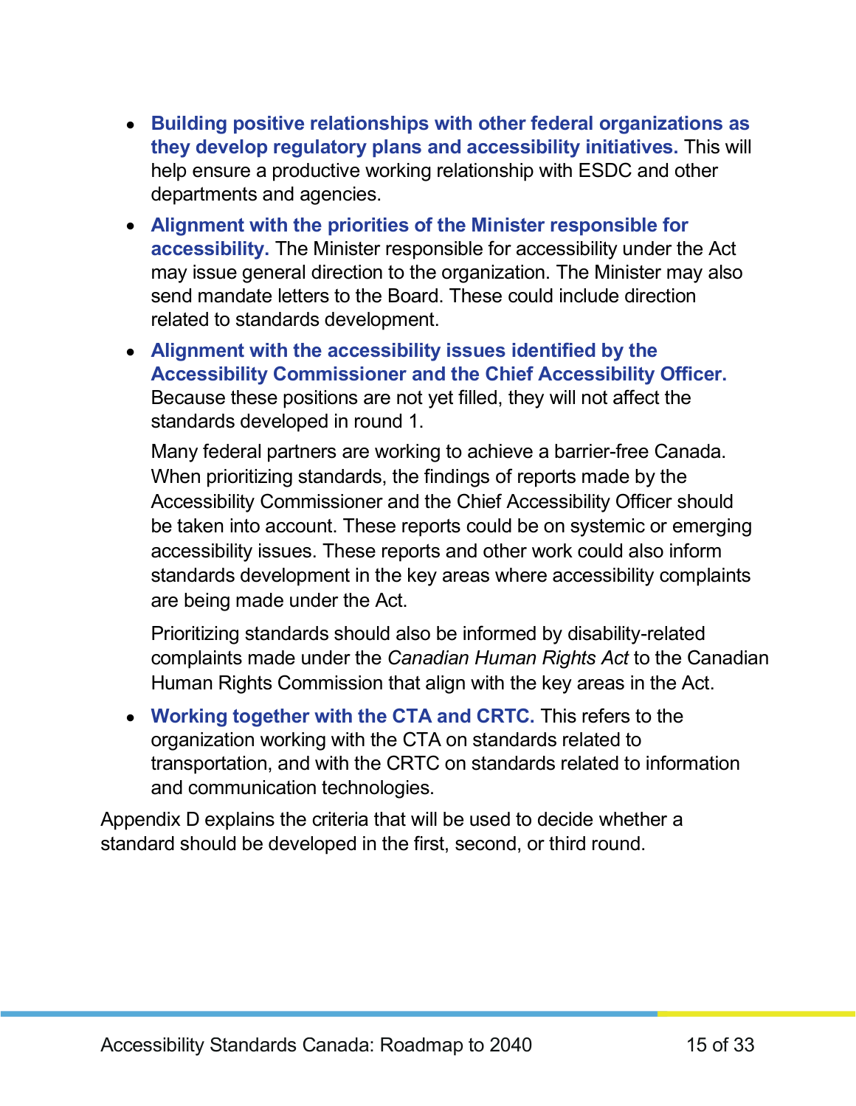- **Building positive relationships with other federal organizations as they develop regulatory plans and accessibility initiatives.** This will help ensure a productive working relationship with ESDC and other departments and agencies.
- **Alignment with the priorities of the Minister responsible for accessibility.** The Minister responsible for accessibility under the Act may issue general direction to the organization. The Minister may also send mandate letters to the Board. These could include direction related to standards development.
- **Alignment with the accessibility issues identified by the Accessibility Commissioner and the Chief Accessibility Officer.** Because these positions are not yet filled, they will not affect the standards developed in round 1.

Many federal partners are working to achieve a barrier-free Canada. When prioritizing standards, the findings of reports made by the Accessibility Commissioner and the Chief Accessibility Officer should be taken into account. These reports could be on systemic or emerging accessibility issues. These reports and other work could also inform standards development in the key areas where accessibility complaints are being made under the Act.

Prioritizing standards should also be informed by disability-related complaints made under the *Canadian Human Rights Act* to the Canadian Human Rights Commission that align with the key areas in the Act.

• **Working together with the CTA and CRTC.** This refers to the organization working with the CTA on standards related to transportation, and with the CRTC on standards related to information and communication technologies.

Appendix D explains the criteria that will be used to decide whether a standard should be developed in the first, second, or third round.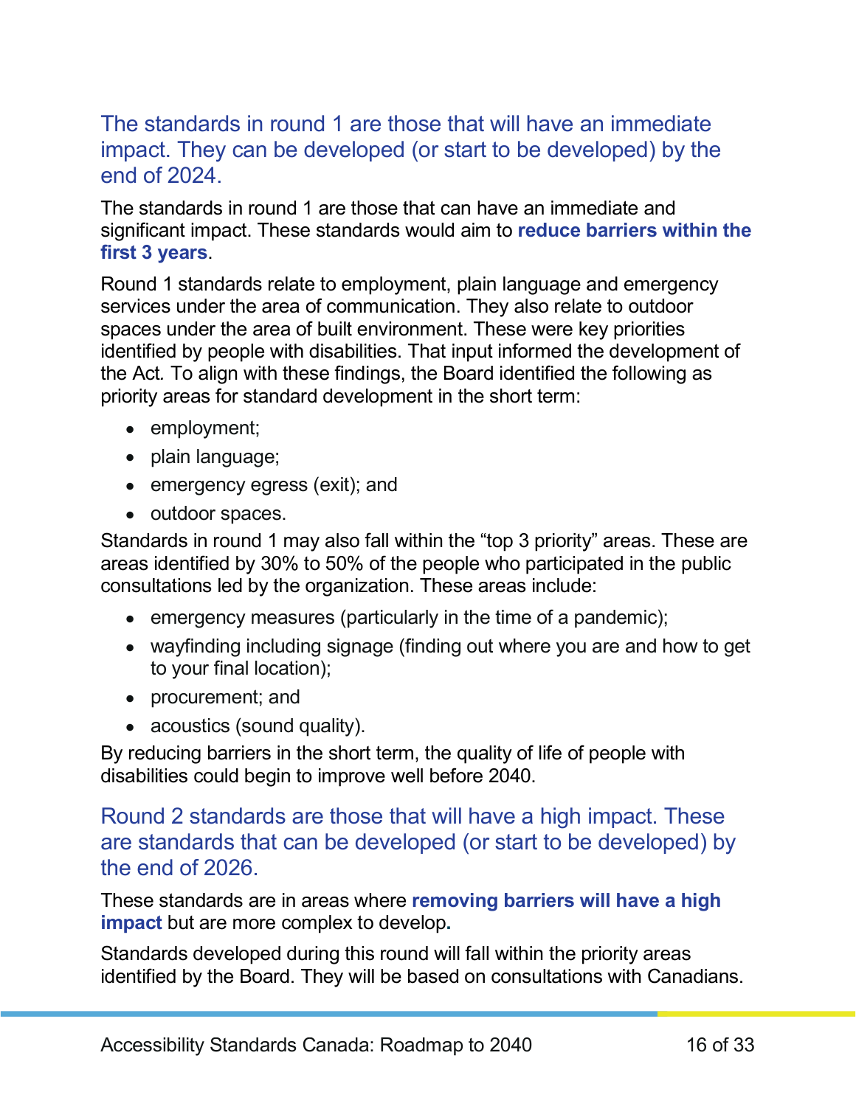#### The standards in round 1 are those that will have an immediate impact. They can be developed (or start to be developed) by the end of 2024.

The standards in round 1 are those that can have an immediate and significant impact. These standards would aim to **reduce barriers within the first 3 years**.

Round 1 standards relate to employment, plain language and emergency services under the area of communication. They also relate to outdoor spaces under the area of built environment. These were key priorities identified by people with disabilities. That input informed the development of the Act*.* To align with these findings, the Board identified the following as priority areas for standard development in the short term:

- employment;
- plain language;
- emergency egress (exit); and
- outdoor spaces.

Standards in round 1 may also fall within the "top 3 priority" areas. These are areas identified by 30% to 50% of the people who participated in the public consultations led by the organization. These areas include:

- emergency measures (particularly in the time of a pandemic);
- wayfinding including signage (finding out where you are and how to get to your final location);
- procurement; and
- acoustics (sound quality).

By reducing barriers in the short term, the quality of life of people with disabilities could begin to improve well before 2040.

Round 2 standards are those that will have a high impact. These are standards that can be developed (or start to be developed) by the end of 2026.

These standards are in areas where **removing barriers will have a high impact** but are more complex to develop**.**

Standards developed during this round will fall within the priority areas identified by the Board. They will be based on consultations with Canadians.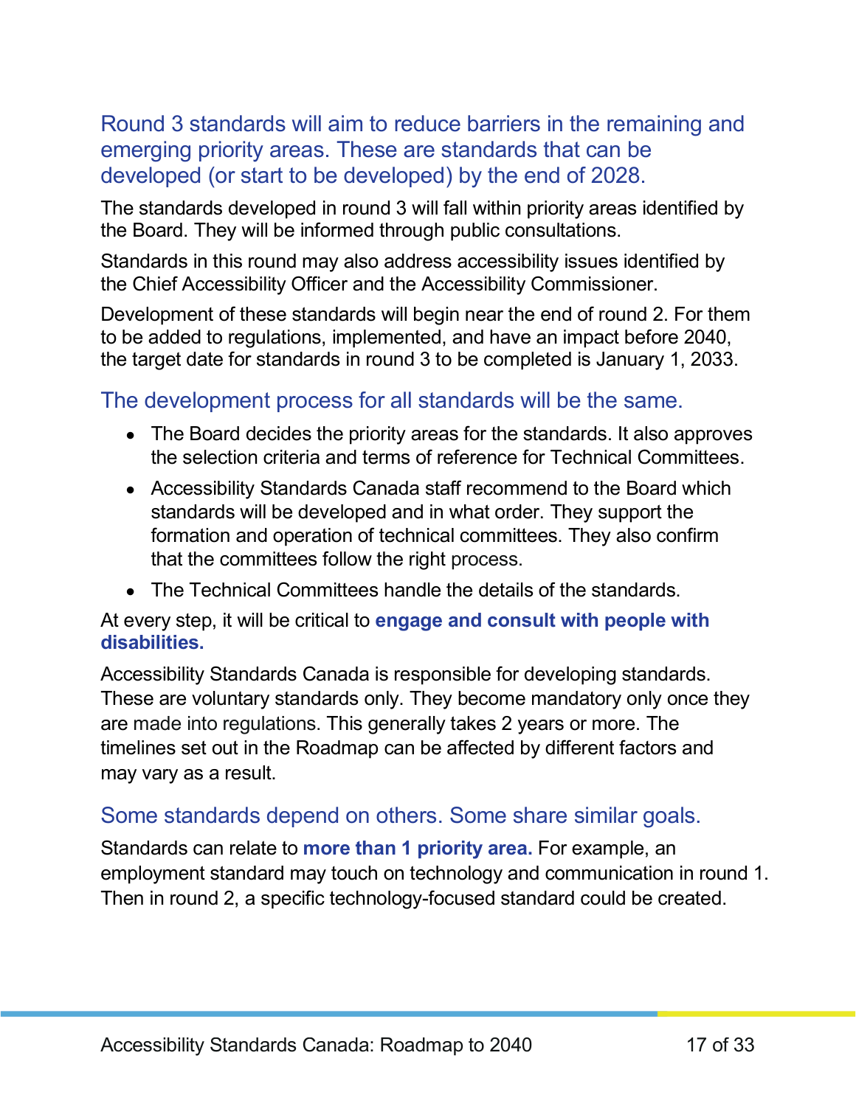#### Round 3 standards will aim to reduce barriers in the remaining and emerging priority areas. These are standards that can be developed (or start to be developed) by the end of 2028.

The standards developed in round 3 will fall within priority areas identified by the Board. They will be informed through public consultations.

Standards in this round may also address accessibility issues identified by the Chief Accessibility Officer and the Accessibility Commissioner.

Development of these standards will begin near the end of round 2. For them to be added to regulations, implemented, and have an impact before 2040, the target date for standards in round 3 to be completed is January 1, 2033.

#### The development process for all standards will be the same.

- The Board decides the priority areas for the standards. It also approves the selection criteria and terms of reference for Technical Committees.
- Accessibility Standards Canada staff recommend to the Board which standards will be developed and in what order. They support the formation and operation of technical committees. They also confirm that the committees follow the right process.
- The Technical Committees handle the details of the standards.

#### At every step, it will be critical to **engage and consult with people with disabilities.**

Accessibility Standards Canada is responsible for developing standards. These are voluntary standards only. They become mandatory only once they are made into regulations. This generally takes 2 years or more. The timelines set out in the Roadmap can be affected by different factors and may vary as a result.

#### Some standards depend on others. Some share similar goals.

Standards can relate to **more than 1 priority area.** For example, an employment standard may touch on technology and communication in round 1. Then in round 2, a specific technology-focused standard could be created.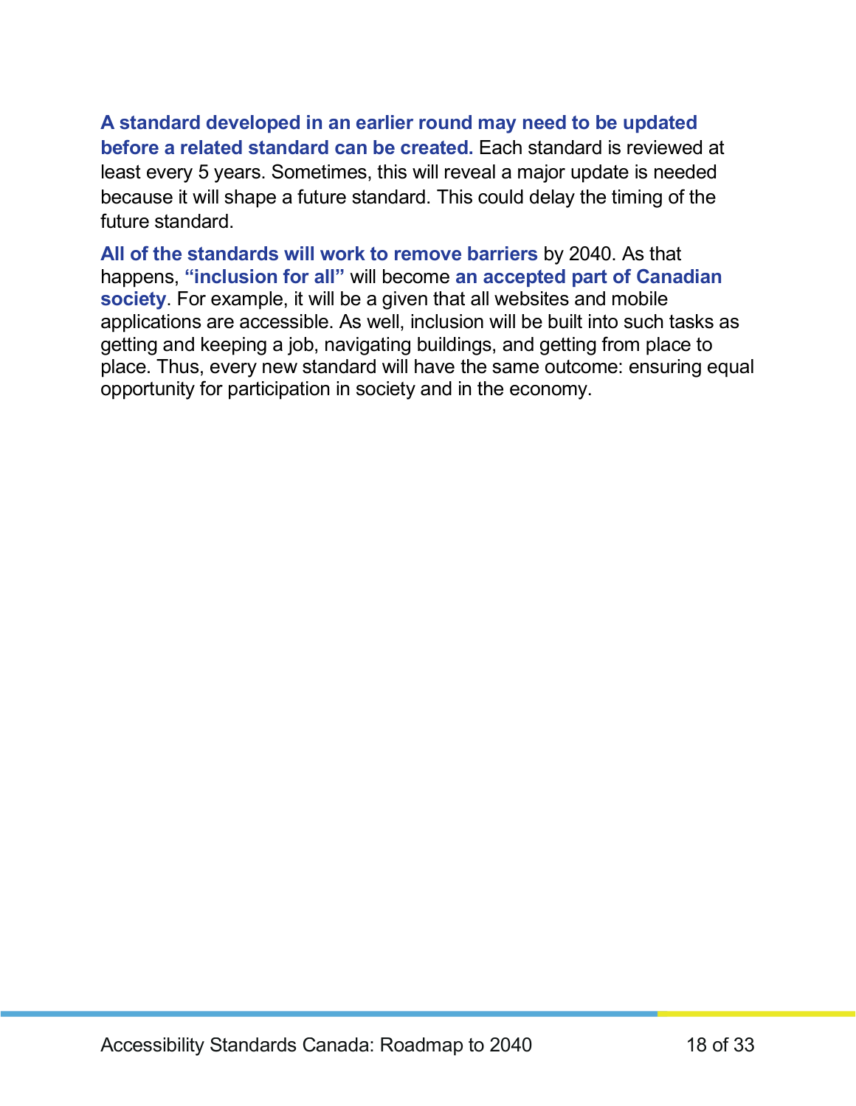**A standard developed in an earlier round may need to be updated before a related standard can be created.** Each standard is reviewed at least every 5 years. Sometimes, this will reveal a major update is needed because it will shape a future standard. This could delay the timing of the future standard.

**All of the standards will work to remove barriers** by 2040. As that happens, **"inclusion for all"** will become **an accepted part of Canadian society**. For example, it will be a given that all websites and mobile applications are accessible. As well, inclusion will be built into such tasks as getting and keeping a job, navigating buildings, and getting from place to place. Thus, every new standard will have the same outcome: ensuring equal opportunity for participation in society and in the economy.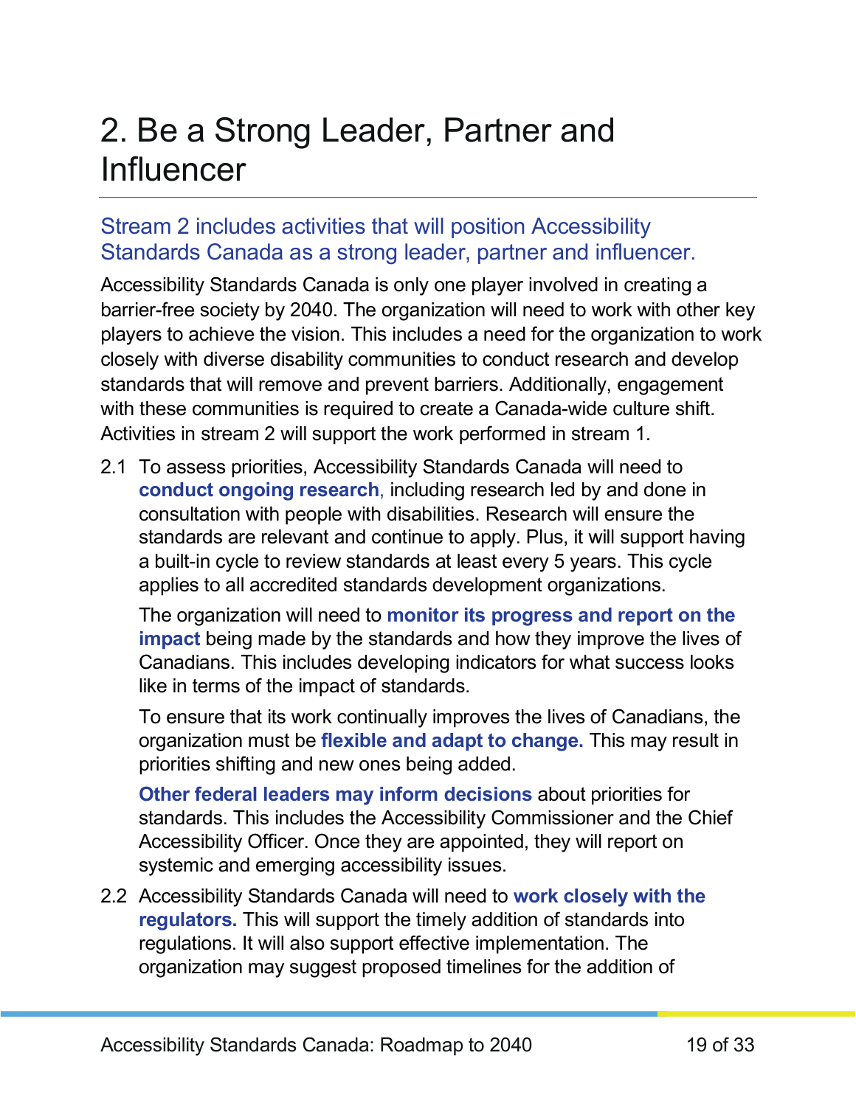### <span id="page-18-0"></span>2. Be a Strong Leader, Partner and **Influencer**

### Stream 2 includes activities that will position Accessibility Standards Canada as a strong leader, partner and influencer.

Accessibility Standards Canada is only one player involved in creating a barrier-free society by 2040. The organization will need to work with other key players to achieve the vision. This includes a need for the organization to work closely with diverse disability communities to conduct research and develop standards that will remove and prevent barriers. Additionally, engagement with these communities is required to create a Canada-wide culture shift. Activities in stream 2 will support the work performed in stream 1.

2.1 To assess priorities, Accessibility Standards Canada will need to **conduct ongoing research**, including research led by and done in consultation with people with disabilities. Research will ensure the standards are relevant and continue to apply. Plus, it will support having a built-in cycle to review standards at least every 5 years. This cycle applies to all accredited standards development organizations.

The organization will need to **monitor its progress and report on the impact** being made by the standards and how they improve the lives of Canadians. This includes developing indicators for what success looks like in terms of the impact of standards.

To ensure that its work continually improves the lives of Canadians, the organization must be **flexible and adapt to change.** This may result in priorities shifting and new ones being added.

**Other federal leaders may inform decisions** about priorities for standards. This includes the Accessibility Commissioner and the Chief Accessibility Officer. Once they are appointed, they will report on systemic and emerging accessibility issues.

2.2 Accessibility Standards Canada will need to **work closely with the regulators.** This will support the timely addition of standards into regulations. It will also support effective implementation. The organization may suggest proposed timelines for the addition of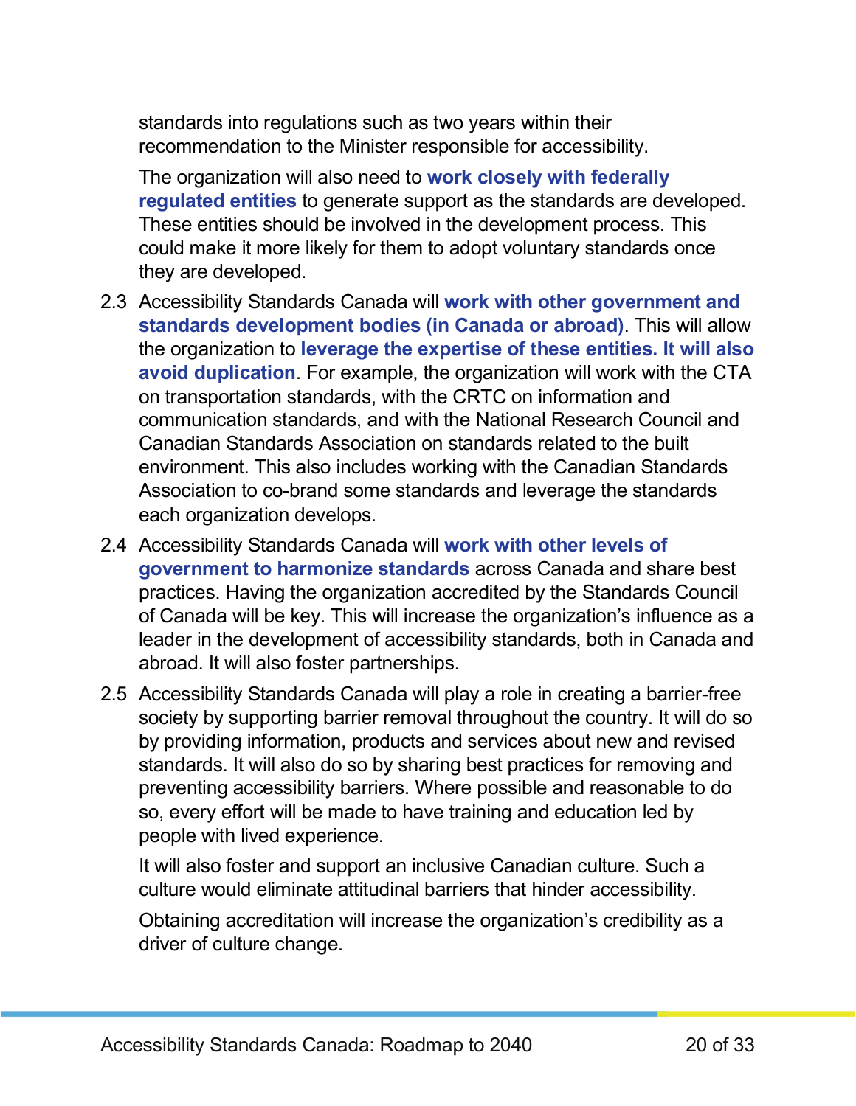standards into regulations such as two years within their recommendation to the Minister responsible for accessibility.

The organization will also need to **work closely with federally regulated entities** to generate support as the standards are developed. These entities should be involved in the development process. This could make it more likely for them to adopt voluntary standards once they are developed.

- 2.3 Accessibility Standards Canada will **work with other government and standards development bodies (in Canada or abroad)**. This will allow the organization to **leverage the expertise of these entities. It will also avoid duplication**. For example, the organization will work with the CTA on transportation standards, with the CRTC on information and communication standards, and with the National Research Council and Canadian Standards Association on standards related to the built environment. This also includes working with the Canadian Standards Association to co-brand some standards and leverage the standards each organization develops.
- 2.4 Accessibility Standards Canada will **work with other levels of government to harmonize standards** across Canada and share best practices. Having the organization accredited by the Standards Council of Canada will be key. This will increase the organization's influence as a leader in the development of accessibility standards, both in Canada and abroad. It will also foster partnerships.
- 2.5 Accessibility Standards Canada will play a role in creating a barrier-free society by supporting barrier removal throughout the country. It will do so by providing information, products and services about new and revised standards. It will also do so by sharing best practices for removing and preventing accessibility barriers. Where possible and reasonable to do so, every effort will be made to have training and education led by people with lived experience.

It will also foster and support an inclusive Canadian culture. Such a culture would eliminate attitudinal barriers that hinder accessibility.

Obtaining accreditation will increase the organization's credibility as a driver of culture change.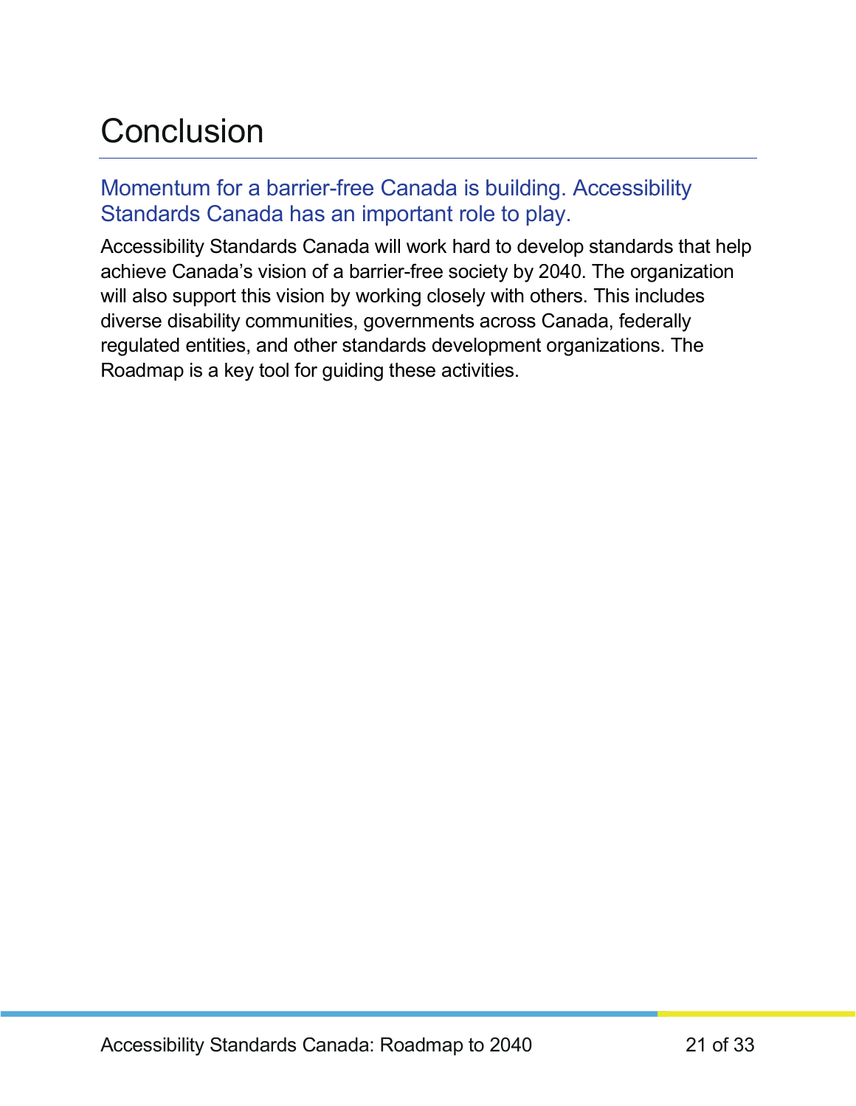### <span id="page-20-0"></span>**Conclusion**

#### Momentum for a barrier-free Canada is building. Accessibility Standards Canada has an important role to play.

Accessibility Standards Canada will work hard to develop standards that help achieve Canada's vision of a barrier-free society by 2040. The organization will also support this vision by working closely with others. This includes diverse disability communities, governments across Canada, federally regulated entities, and other standards development organizations. The Roadmap is a key tool for guiding these activities.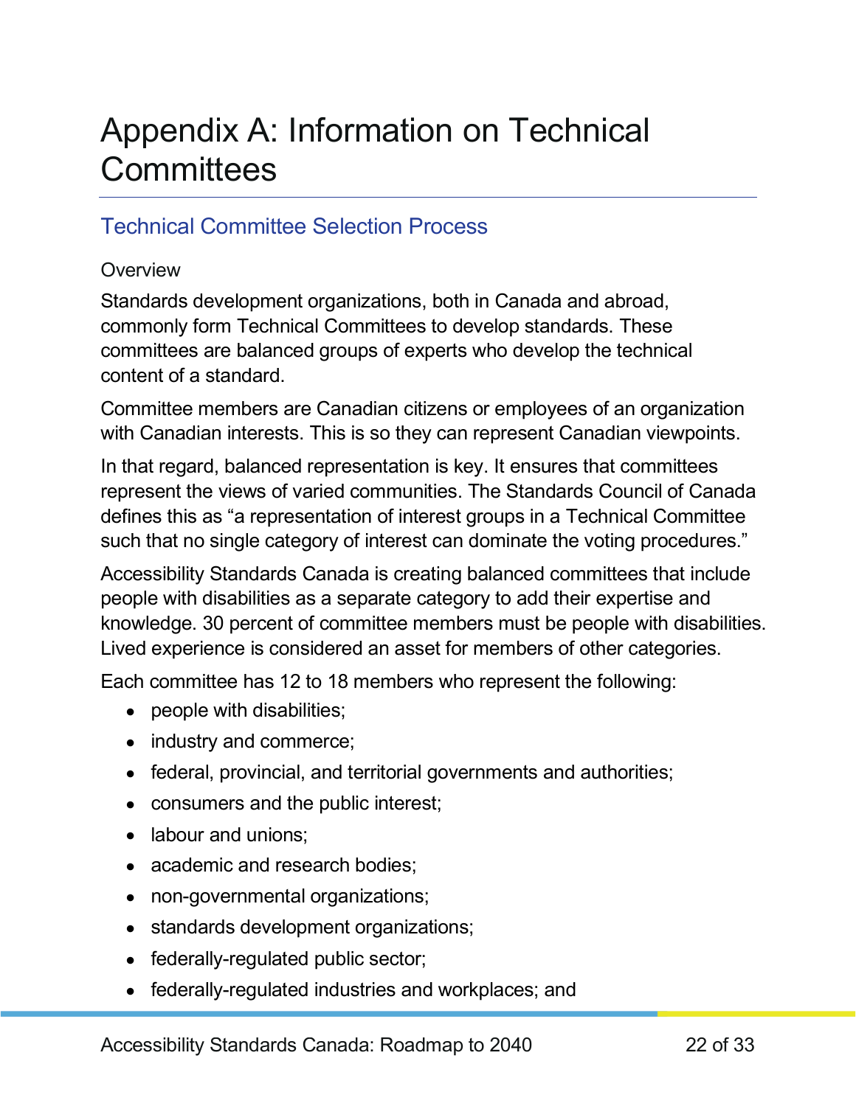### <span id="page-21-0"></span>Appendix A: Information on Technical **Committees**

#### Technical Committee Selection Process

#### **Overview**

Standards development organizations, both in Canada and abroad, commonly form Technical Committees to develop standards. These committees are balanced groups of experts who develop the technical content of a standard.

Committee members are Canadian citizens or employees of an organization with Canadian interests. This is so they can represent Canadian viewpoints.

In that regard, balanced representation is key. It ensures that committees represent the views of varied communities. The Standards Council of Canada defines this as "a representation of interest groups in a Technical Committee such that no single category of interest can dominate the voting procedures."

Accessibility Standards Canada is creating balanced committees that include people with disabilities as a separate category to add their expertise and knowledge. 30 percent of committee members must be people with disabilities. Lived experience is considered an asset for members of other categories.

Each committee has 12 to 18 members who represent the following:

- people with disabilities;
- industry and commerce;
- federal, provincial, and territorial governments and authorities;
- consumers and the public interest;
- labour and unions;
- academic and research bodies;
- non-governmental organizations;
- standards development organizations;
- federally-regulated public sector;
- federally-regulated industries and workplaces; and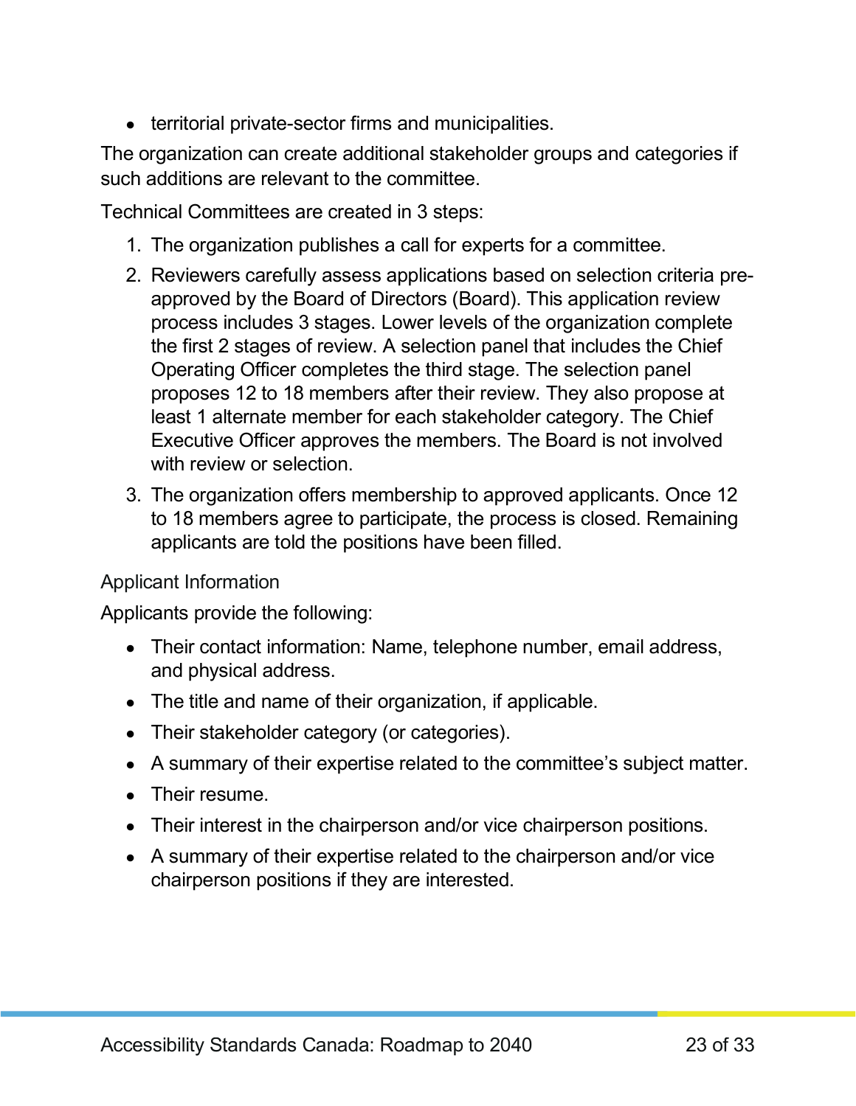• territorial private-sector firms and municipalities.

The organization can create additional stakeholder groups and categories if such additions are relevant to the committee.

Technical Committees are created in 3 steps:

- 1. The organization publishes a call for experts for a committee.
- 2. Reviewers carefully assess applications based on selection criteria preapproved by the Board of Directors (Board). This application review process includes 3 stages. Lower levels of the organization complete the first 2 stages of review. A selection panel that includes the Chief Operating Officer completes the third stage. The selection panel proposes 12 to 18 members after their review. They also propose at least 1 alternate member for each stakeholder category. The Chief Executive Officer approves the members. The Board is not involved with review or selection.
- 3. The organization offers membership to approved applicants. Once 12 to 18 members agree to participate, the process is closed. Remaining applicants are told the positions have been filled.

#### Applicant Information

Applicants provide the following:

- Their contact information: Name, telephone number, email address, and physical address.
- The title and name of their organization, if applicable.
- Their stakeholder category (or categories).
- A summary of their expertise related to the committee's subject matter.
- Their resume.
- Their interest in the chairperson and/or vice chairperson positions.
- A summary of their expertise related to the chairperson and/or vice chairperson positions if they are interested.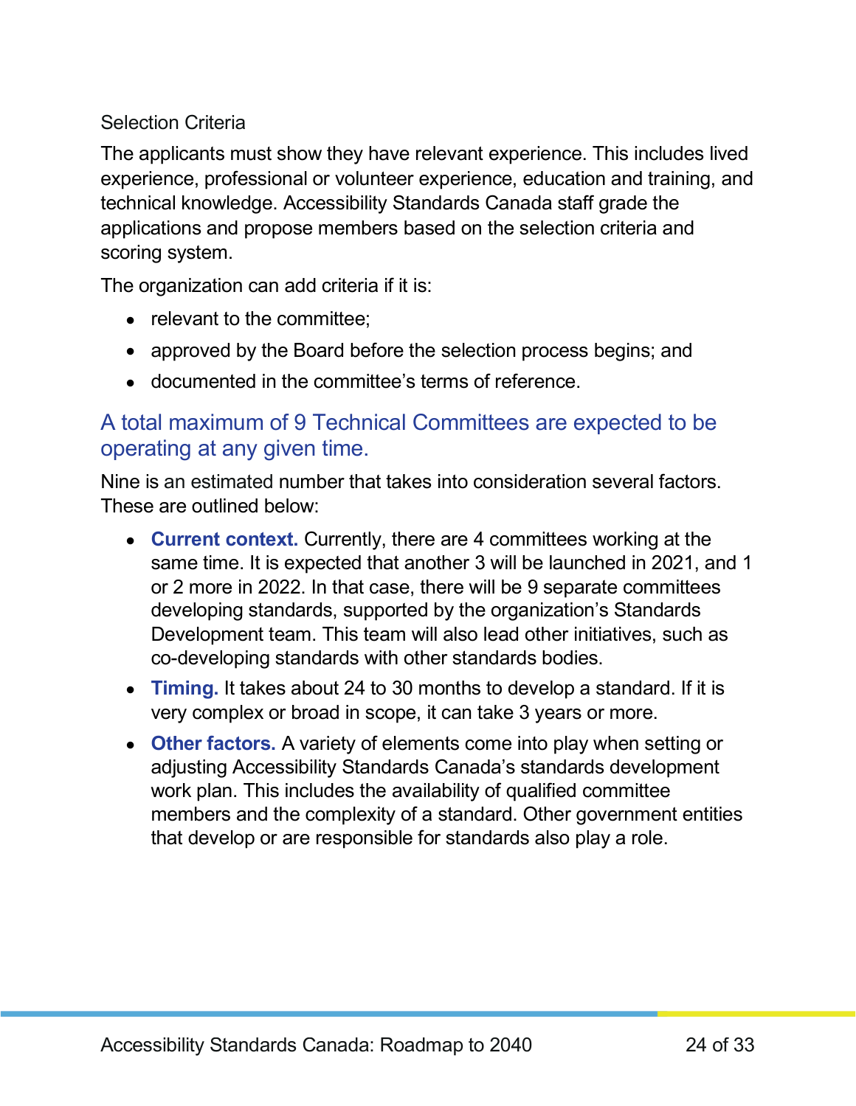#### Selection Criteria

The applicants must show they have relevant experience. This includes lived experience, professional or volunteer experience, education and training, and technical knowledge. Accessibility Standards Canada staff grade the applications and propose members based on the selection criteria and scoring system.

The organization can add criteria if it is:

- relevant to the committee;
- approved by the Board before the selection process begins; and
- documented in the committee's terms of reference.

#### A total maximum of 9 Technical Committees are expected to be operating at any given time.

Nine is an estimated number that takes into consideration several factors. These are outlined below:

- **Current context.** Currently, there are 4 committees working at the same time. It is expected that another 3 will be launched in 2021, and 1 or 2 more in 2022. In that case, there will be 9 separate committees developing standards, supported by the organization's Standards Development team. This team will also lead other initiatives, such as co-developing standards with other standards bodies.
- **Timing.** It takes about 24 to 30 months to develop a standard. If it is very complex or broad in scope, it can take 3 years or more.
- **Other factors.** A variety of elements come into play when setting or adjusting Accessibility Standards Canada's standards development work plan. This includes the availability of qualified committee members and the complexity of a standard. Other government entities that develop or are responsible for standards also play a role.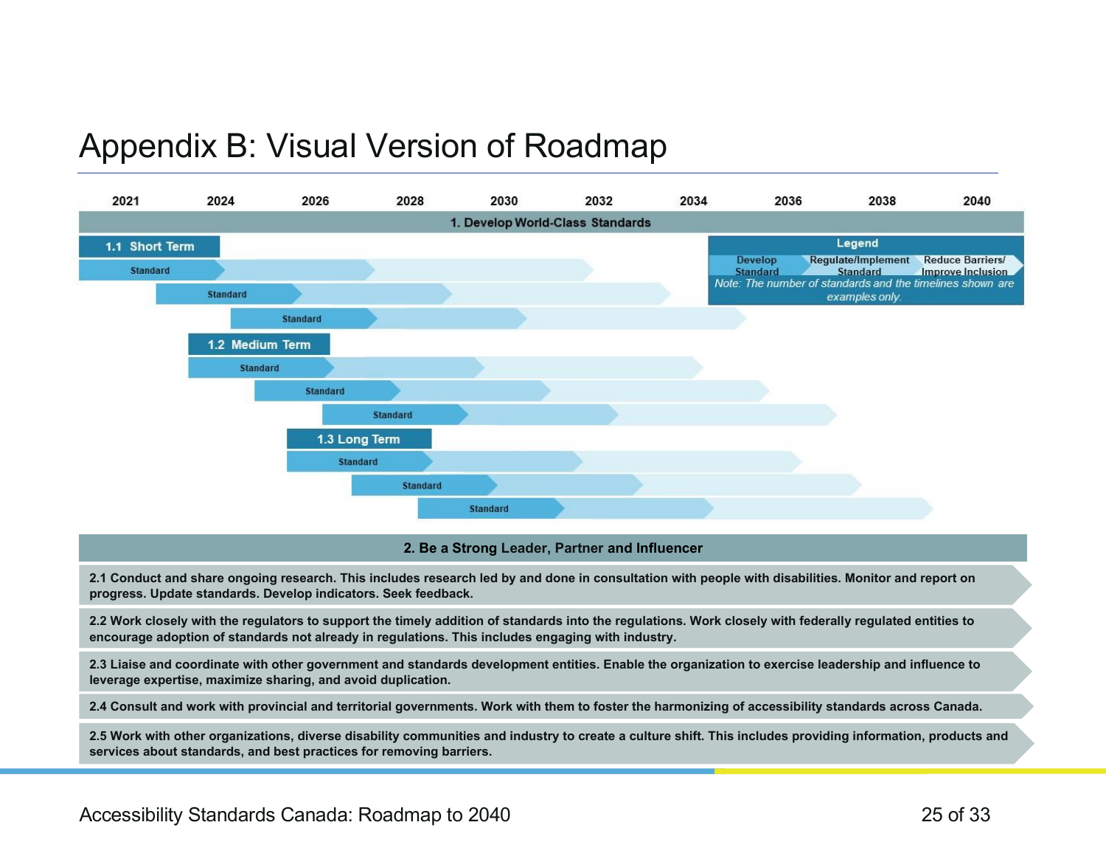### Appendix B: Visual Version of Roadmap

<span id="page-24-0"></span>

#### **2. Be a Strong Leader, Partner and Influencer**

**2.1 Conduct and share ongoing research. This includes research led by and done in consultation with people with disabilities. Monitor and report on progress. Update standards. Develop indicators. Seek feedback.**

**2.2 Work closely with the regulators to support the timely addition of standards into the regulations. Work closely with federally regulated entities to encourage adoption of standards not already in regulations. This includes engaging with industry.**

**2.3 Liaise and coordinate with other government and standards development entities. Enable the organization to exercise leadership and influence to leverage expertise, maximize sharing, and avoid duplication.** 

**2.4 Consult and work with provincial and territorial governments. Work with them to foster the harmonizing of accessibility standards across Canada.**

**2.5 Work with other organizations, diverse disability communities and industry to create a culture shift. This includes providing information, products and services about standards, and best practices for removing barriers.**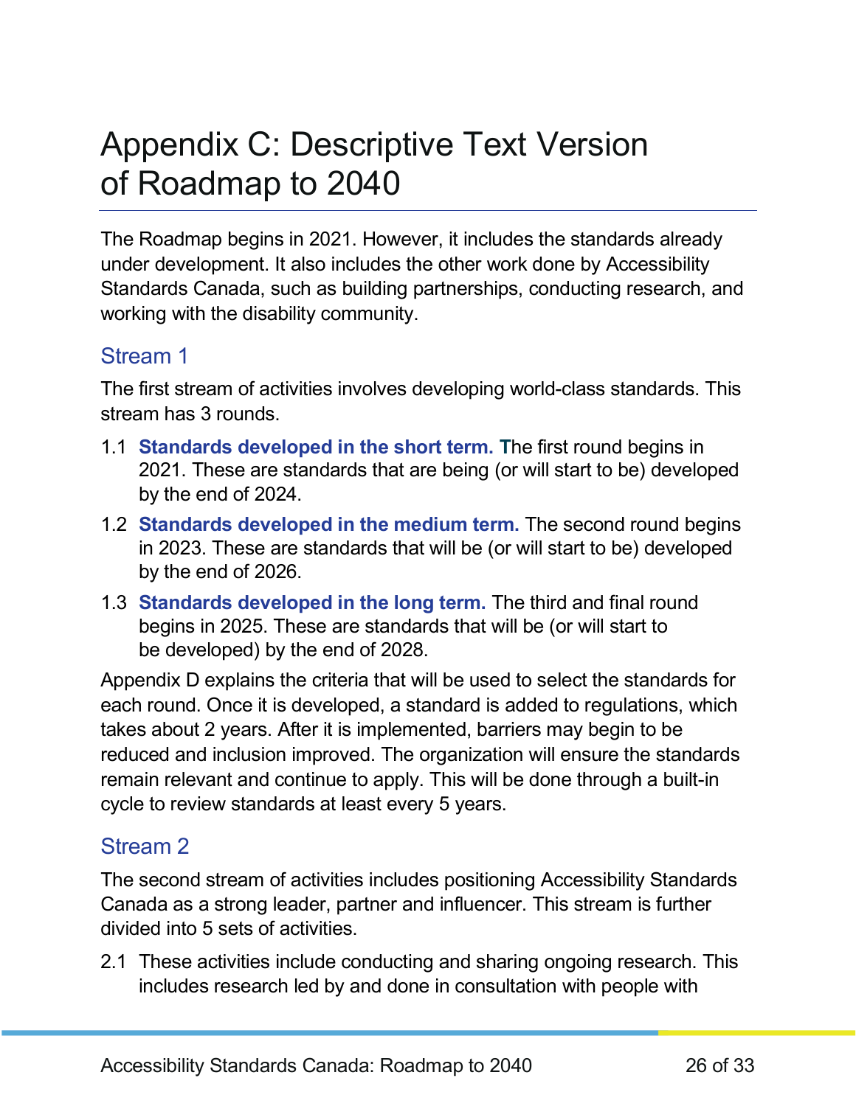### <span id="page-25-0"></span>Appendix C: Descriptive Text Version of Roadmap to 2040

The Roadmap begins in 2021. However, it includes the standards already under development. It also includes the other work done by Accessibility Standards Canada, such as building partnerships, conducting research, and working with the disability community.

#### Stream 1

The first stream of activities involves developing world-class standards. This stream has 3 rounds.

- 1.1 **Standards developed in the short term. T**he first round begins in 2021. These are standards that are being (or will start to be) developed by the end of 2024.
- 1.2 **Standards developed in the medium term.** The second round begins in 2023. These are standards that will be (or will start to be) developed by the end of 2026.
- 1.3 **Standards developed in the long term.** The third and final round begins in 2025. These are standards that will be (or will start to be developed) by the end of 2028.

Appendix D explains the criteria that will be used to select the standards for each round. Once it is developed, a standard is added to regulations, which takes about 2 years. After it is implemented, barriers may begin to be reduced and inclusion improved. The organization will ensure the standards remain relevant and continue to apply. This will be done through a built-in cycle to review standards at least every 5 years.

#### Stream 2

The second stream of activities includes positioning Accessibility Standards Canada as a strong leader, partner and influencer. This stream is further divided into 5 sets of activities.

2.1 These activities include conducting and sharing ongoing research. This includes research led by and done in consultation with people with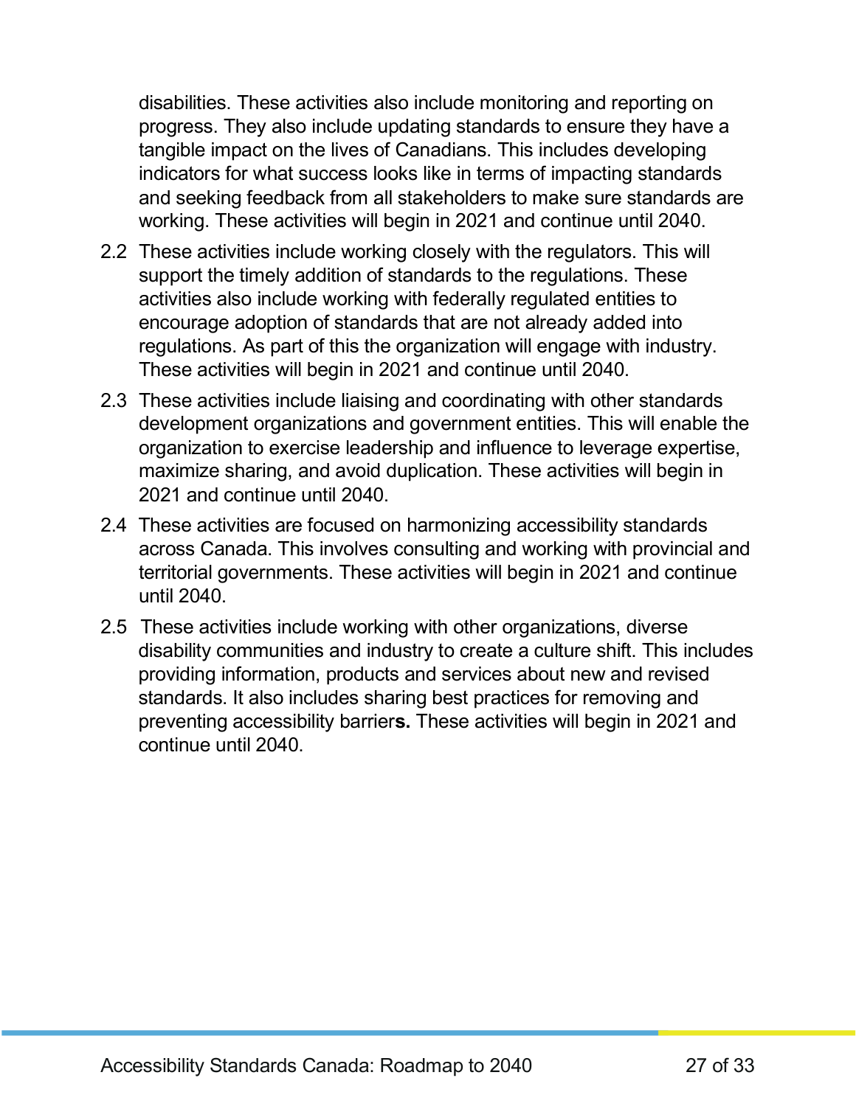disabilities. These activities also include monitoring and reporting on progress. They also include updating standards to ensure they have a tangible impact on the lives of Canadians. This includes developing indicators for what success looks like in terms of impacting standards and seeking feedback from all stakeholders to make sure standards are working. These activities will begin in 2021 and continue until 2040.

- 2.2 These activities include working closely with the regulators. This will support the timely addition of standards to the regulations. These activities also include working with federally regulated entities to encourage adoption of standards that are not already added into regulations. As part of this the organization will engage with industry. These activities will begin in 2021 and continue until 2040.
- 2.3 These activities include liaising and coordinating with other standards development organizations and government entities. This will enable the organization to exercise leadership and influence to leverage expertise, maximize sharing, and avoid duplication. These activities will begin in 2021 and continue until 2040.
- 2.4 These activities are focused on harmonizing accessibility standards across Canada. This involves consulting and working with provincial and territorial governments. These activities will begin in 2021 and continue until 2040.
- 2.5 These activities include working with other organizations, diverse disability communities and industry to create a culture shift. This includes providing information, products and services about new and revised standards. It also includes sharing best practices for removing and preventing accessibility barrier**s.** These activities will begin in 2021 and continue until 2040.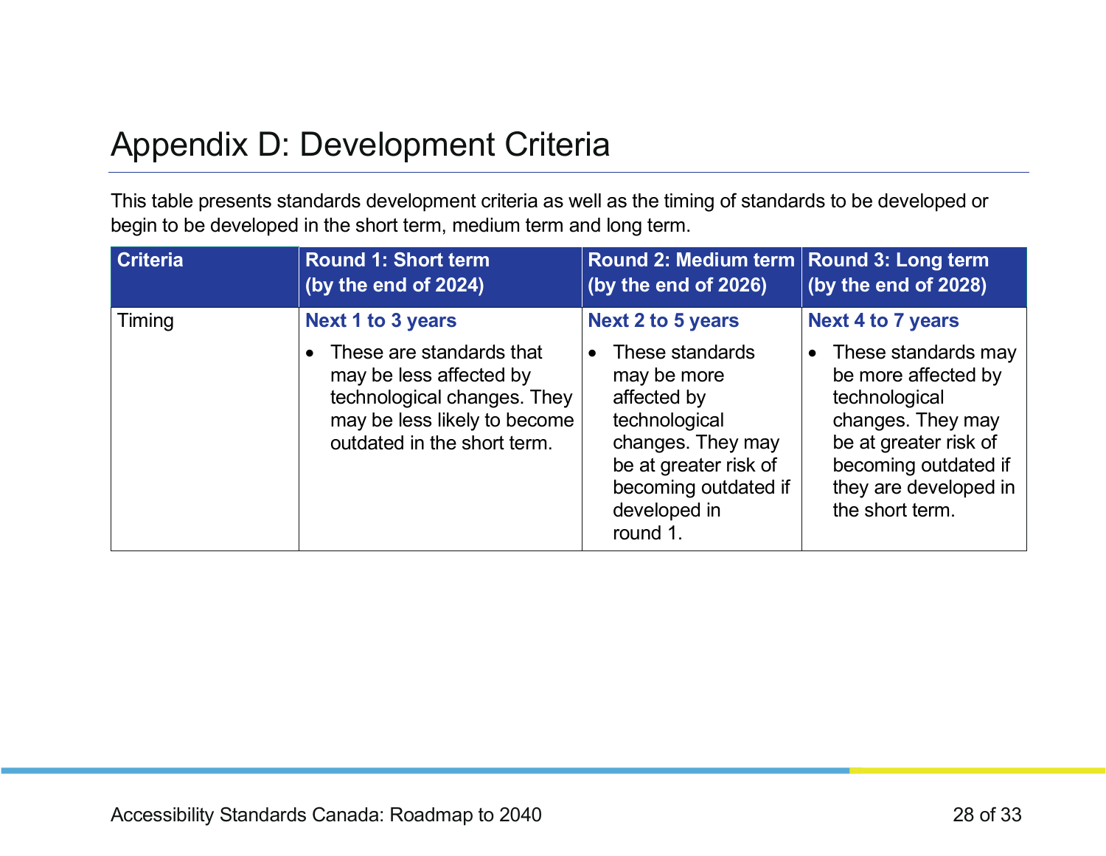### Appendix D: Development Criteria

This table presents standards development criteria as well as the timing of standards to be developed or begin to be developed in the short term, medium term and long term.

<span id="page-27-0"></span>

| <b>Criteria</b> | <b>Round 1: Short term</b><br>(by the end of 2024)                                         | Round 2: Medium term Round 3: Long term<br>(by the end of 2026)                                                                | (by the end of 2028)                                                                                                            |
|-----------------|--------------------------------------------------------------------------------------------|--------------------------------------------------------------------------------------------------------------------------------|---------------------------------------------------------------------------------------------------------------------------------|
| Timing          | <b>Next 1 to 3 years</b><br>These are standards that<br>may be less affected by            | <b>Next 2 to 5 years</b><br>These standards<br>$\bullet$<br>may be more                                                        | <b>Next 4 to 7 years</b><br>These standards may<br>$\bullet$<br>be more affected by                                             |
|                 | technological changes. They<br>may be less likely to become<br>outdated in the short term. | affected by<br>technological<br>changes. They may<br>be at greater risk of<br>becoming outdated if<br>developed in<br>round 1. | technological<br>changes. They may<br>be at greater risk of<br>becoming outdated if<br>they are developed in<br>the short term. |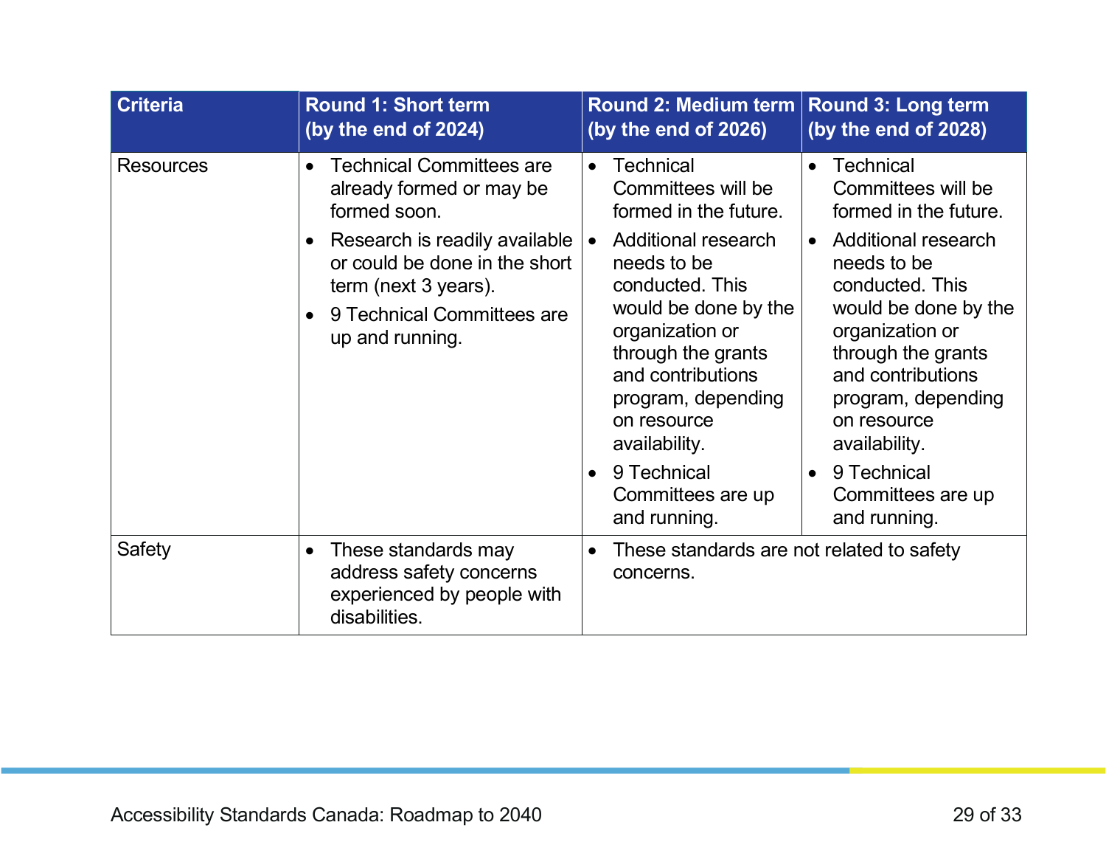| <b>Criteria</b>  | <b>Round 1: Short term</b><br>(by the end of 2024)                                                                                                                                                                                                            | <b>Round 2: Medium term</b><br>(by the end of 2026)                                                                                                                                                                                                                                                                                                             | <b>Round 3: Long term</b><br>(by the end of 2028)                                                                                                                                                                                                                                                                                                                      |
|------------------|---------------------------------------------------------------------------------------------------------------------------------------------------------------------------------------------------------------------------------------------------------------|-----------------------------------------------------------------------------------------------------------------------------------------------------------------------------------------------------------------------------------------------------------------------------------------------------------------------------------------------------------------|------------------------------------------------------------------------------------------------------------------------------------------------------------------------------------------------------------------------------------------------------------------------------------------------------------------------------------------------------------------------|
| <b>Resources</b> | <b>Technical Committees are</b><br>$\bullet$<br>already formed or may be<br>formed soon.<br>Research is readily available<br>$\bullet$<br>or could be done in the short<br>term (next 3 years).<br>9 Technical Committees are<br>$\bullet$<br>up and running. | <b>Technical</b><br>$\bullet$<br>Committees will be<br>formed in the future.<br>Additional research<br>$\bullet$<br>needs to be<br>conducted. This<br>would be done by the<br>organization or<br>through the grants<br>and contributions<br>program, depending<br>on resource<br>availability.<br>9 Technical<br>$\bullet$<br>Committees are up<br>and running. | <b>Technical</b><br>$\bullet$<br>Committees will be<br>formed in the future.<br><b>Additional research</b><br>$\bullet$<br>needs to be<br>conducted. This<br>would be done by the<br>organization or<br>through the grants<br>and contributions<br>program, depending<br>on resource<br>availability.<br>9 Technical<br>$\bullet$<br>Committees are up<br>and running. |
| Safety           | These standards may<br>$\bullet$<br>address safety concerns<br>experienced by people with<br>disabilities.                                                                                                                                                    | These standards are not related to safety<br>$\bullet$<br>concerns.                                                                                                                                                                                                                                                                                             |                                                                                                                                                                                                                                                                                                                                                                        |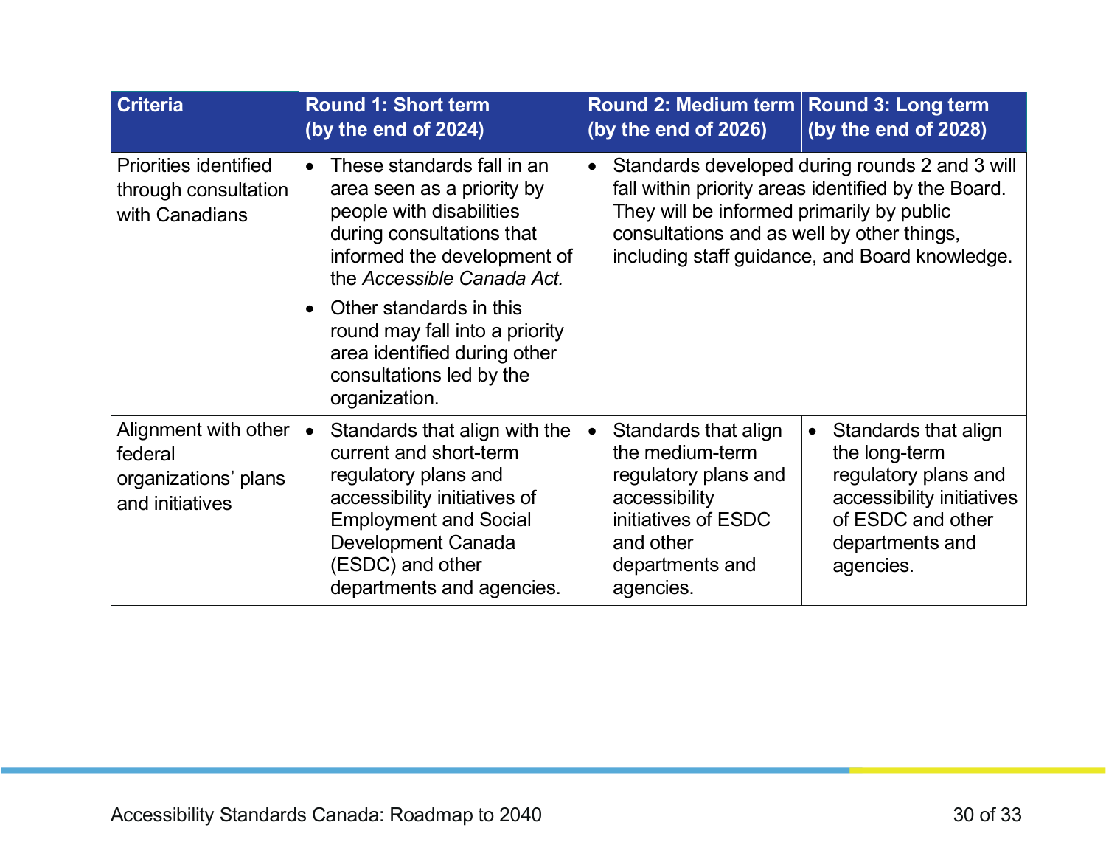| <b>Criteria</b>                                                            | <b>Round 1: Short term</b><br>(by the end of 2024)                                                                                                                                                                                                                                                                                    | Round 2: Medium term<br>(by the end of 2026)                                                                                                         | <b>Round 3: Long term</b><br>(by the end of 2028)                                                                                                       |
|----------------------------------------------------------------------------|---------------------------------------------------------------------------------------------------------------------------------------------------------------------------------------------------------------------------------------------------------------------------------------------------------------------------------------|------------------------------------------------------------------------------------------------------------------------------------------------------|---------------------------------------------------------------------------------------------------------------------------------------------------------|
| <b>Priorities identified</b><br>through consultation<br>with Canadians     | These standards fall in an<br>$\bullet$<br>area seen as a priority by<br>people with disabilities<br>during consultations that<br>informed the development of<br>the Accessible Canada Act.<br>Other standards in this<br>round may fall into a priority<br>area identified during other<br>consultations led by the<br>organization. | They will be informed primarily by public<br>consultations and as well by other things,                                                              | Standards developed during rounds 2 and 3 will<br>fall within priority areas identified by the Board.<br>including staff guidance, and Board knowledge. |
| Alignment with other<br>federal<br>organizations' plans<br>and initiatives | Standards that align with the<br>$\bullet$<br>current and short-term<br>regulatory plans and<br>accessibility initiatives of<br><b>Employment and Social</b><br><b>Development Canada</b><br>(ESDC) and other<br>departments and agencies.                                                                                            | Standards that align<br>the medium-term<br>regulatory plans and<br>accessibility<br>initiatives of ESDC<br>and other<br>departments and<br>agencies. | Standards that align<br>the long-term<br>regulatory plans and<br>accessibility initiatives<br>of ESDC and other<br>departments and<br>agencies.         |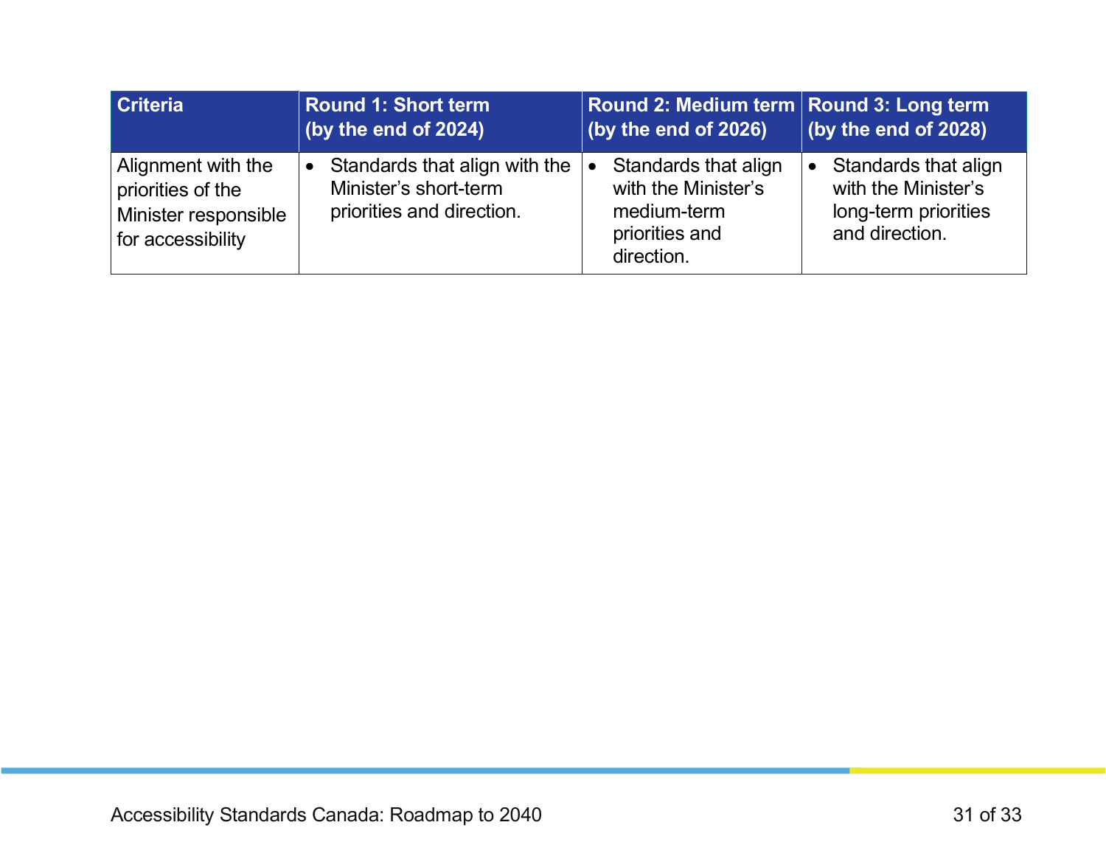| <b>Criteria</b>                                                                      | <b>Round 1: Short term</b><br>(by the end of 2024)                                               | Round 2: Medium term Round 3: Long term<br>(by the end of 2026)                            | (by the end of 2028)                                                                  |
|--------------------------------------------------------------------------------------|--------------------------------------------------------------------------------------------------|--------------------------------------------------------------------------------------------|---------------------------------------------------------------------------------------|
| Alignment with the<br>priorities of the<br>Minister responsible<br>for accessibility | Standards that align with the<br>$\bullet$<br>Minister's short-term<br>priorities and direction. | Standards that align<br>with the Minister's<br>medium-term<br>priorities and<br>direction. | Standards that align<br>with the Minister's<br>long-term priorities<br>and direction. |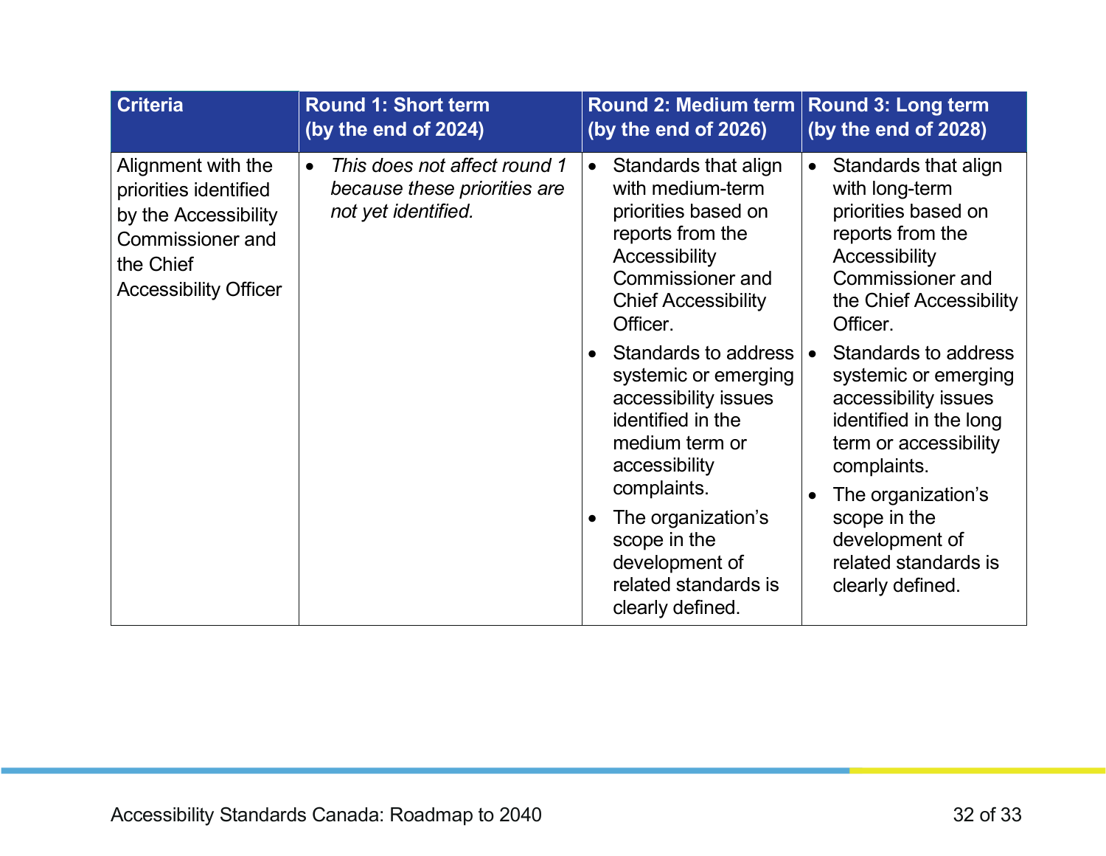| <b>Criteria</b>                                                                                                                             | <b>Round 1: Short term</b>                                                                       | <b>Round 2: Medium term</b>                                                                                                                                                                                                                                                                                                                                                                                                                            | <b>Round 3: Long term</b>                                                                                                                                                                                                                                                                                                                                                                                                       |
|---------------------------------------------------------------------------------------------------------------------------------------------|--------------------------------------------------------------------------------------------------|--------------------------------------------------------------------------------------------------------------------------------------------------------------------------------------------------------------------------------------------------------------------------------------------------------------------------------------------------------------------------------------------------------------------------------------------------------|---------------------------------------------------------------------------------------------------------------------------------------------------------------------------------------------------------------------------------------------------------------------------------------------------------------------------------------------------------------------------------------------------------------------------------|
|                                                                                                                                             | (by the end of 2024)                                                                             | (by the end of 2026)                                                                                                                                                                                                                                                                                                                                                                                                                                   | (by the end of 2028)                                                                                                                                                                                                                                                                                                                                                                                                            |
| Alignment with the<br>priorities identified<br>by the Accessibility<br><b>Commissioner and</b><br>the Chief<br><b>Accessibility Officer</b> | This does not affect round 1<br>$\bullet$<br>because these priorities are<br>not yet identified. | Standards that align<br>with medium-term<br>priorities based on<br>reports from the<br>Accessibility<br><b>Commissioner and</b><br><b>Chief Accessibility</b><br>Officer.<br>Standards to address<br>$\bullet$<br>systemic or emerging<br>accessibility issues<br>identified in the<br>medium term or<br>accessibility<br>complaints.<br>The organization's<br>$\bullet$<br>scope in the<br>development of<br>related standards is<br>clearly defined. | Standards that align<br>$\bullet$<br>with long-term<br>priorities based on<br>reports from the<br>Accessibility<br><b>Commissioner and</b><br>the Chief Accessibility<br>Officer.<br>Standards to address<br>systemic or emerging<br>accessibility issues<br>identified in the long<br>term or accessibility<br>complaints.<br>The organization's<br>scope in the<br>development of<br>related standards is<br>clearly defined. |